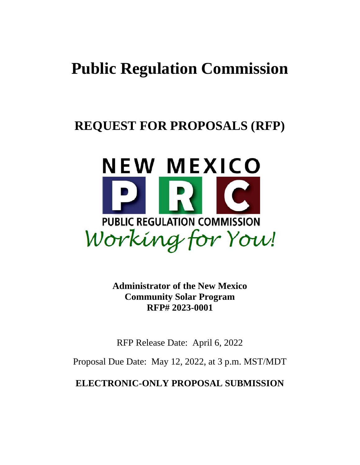# **Public Regulation Commission**

# **REQUEST FOR PROPOSALS (RFP)**



**Administrator of the New Mexico Community Solar Program RFP# 2023-0001**

RFP Release Date: April 6, 2022

Proposal Due Date: May 12, 2022, at 3 p.m. MST/MDT

**ELECTRONIC-ONLY PROPOSAL SUBMISSION**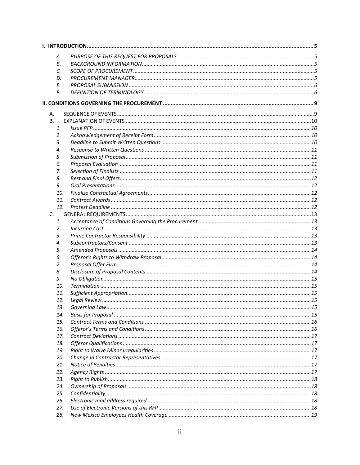| А.  |  |
|-----|--|
| В.  |  |
| C.  |  |
| D.  |  |
| Е.  |  |
| F.  |  |
|     |  |
|     |  |
| А.  |  |
| В.  |  |
| 1.  |  |
| 2.  |  |
| 3.  |  |
| 4.  |  |
| 5.  |  |
| 6.  |  |
| 7.  |  |
| 8.  |  |
| 9.  |  |
| 10. |  |
| 11. |  |
| 12. |  |
| C.  |  |
| 1.  |  |
| 2.  |  |
| 3.  |  |
| 4.  |  |
| 5.  |  |
| 6.  |  |
| 7.  |  |
| 8.  |  |
| 9.  |  |
| 10. |  |
| 11. |  |
| 12. |  |
| 13. |  |
| 14. |  |
| 15. |  |
| 16. |  |
| 17. |  |
| 18. |  |
| 19. |  |
| 20. |  |
| 21. |  |
| 22. |  |
| 23. |  |
| 24. |  |
| 25. |  |
| 26. |  |
| 27. |  |
| 28. |  |
|     |  |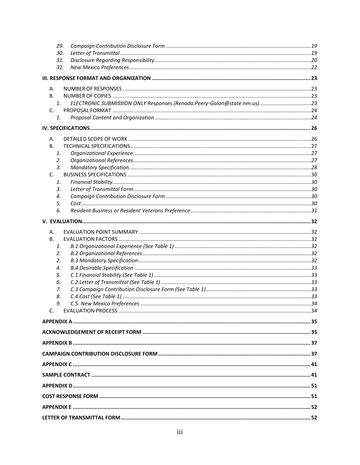| 29.            |  |
|----------------|--|
| 30.            |  |
| 31.            |  |
| 32.            |  |
|                |  |
| Α.             |  |
| В.             |  |
| $\mathbf{1}$ . |  |
| C.             |  |
| 1.             |  |
|                |  |
| А.             |  |
| <b>B.</b>      |  |
| 1.             |  |
| 2.             |  |
| 3.             |  |
| C.             |  |
| 1.             |  |
| 3.             |  |
| 4.             |  |
| 5.             |  |
| 6.             |  |
|                |  |
| А.             |  |
| В.             |  |
| 1.             |  |
| 2.             |  |
| 2.             |  |
| 4.             |  |
| 5.             |  |
| 6.             |  |
| 7.             |  |
| 8.             |  |
| 9.             |  |
| $\mathsf{C}$   |  |
|                |  |
|                |  |
|                |  |
|                |  |
|                |  |
|                |  |
|                |  |
|                |  |
|                |  |
|                |  |
|                |  |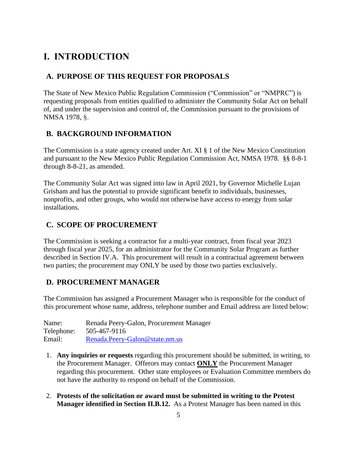# <span id="page-4-0"></span>**I. INTRODUCTION**

### <span id="page-4-1"></span>**A. PURPOSE OF THIS REQUEST FOR PROPOSALS**

The State of New Mexico Public Regulation Commission ("Commission" or "NMPRC") is requesting proposals from entities qualified to administer the Community Solar Act on behalf of, and under the supervision and control of, the Commission pursuant to the provisions of NMSA 1978, §.

### <span id="page-4-2"></span>**B. BACKGROUND INFORMATION**

The Commission is a state agency created under Art. XI § 1 of the New Mexico Constitution and pursuant to the New Mexico Public Regulation Commission Act, NMSA 1978. §§ 8-8-1 through 8-8-21, as amended.

The Community Solar Act was signed into law in April 2021, by Governor Michelle Lujan Grisham and has the potential to provide significant benefit to individuals, businesses, nonprofits, and other groups, who would not otherwise have access to energy from solar installations.

### <span id="page-4-3"></span>**C. SCOPE OF PROCUREMENT**

The Commission is seeking a contractor for a multi-year contract, from fiscal year 2023 through fiscal year 2025, for an administrator for the Community Solar Program as further described in Section IV.A. This procurement will result in a contractual agreement between two parties; the procurement may ONLY be used by those two parties exclusively.

### <span id="page-4-4"></span>**D. PROCUREMENT MANAGER**

The Commission has assigned a Procurement Manager who is responsible for the conduct of this procurement whose name, address, telephone number and Email address are listed below:

Name: Renada Peery-Galon, Procurement Manager Telephone: 505-467-9116 Email: [Renada.Peery-Galon@state.nm.us](mailto:Renada.Peery-Galon@state.nm.us)

- 1. **Any inquiries or requests** regarding this procurement should be submitted, in writing, to the Procurement Manager. Offerors may contact **ONLY** the Procurement Manager regarding this procurement. Other state employees or Evaluation Committee members do not have the authority to respond on behalf of the Commission.
- 2. **Protests of the solicitation or award must be submitted in writing to the Protest Manager identified in Section II.B.12.** As a Protest Manager has been named in this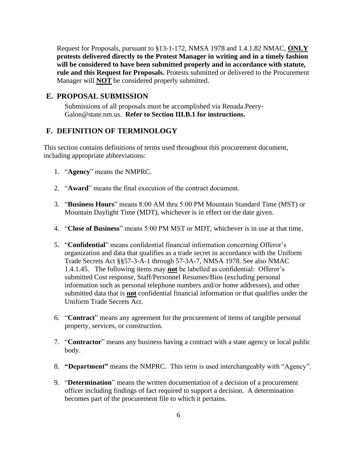Request for Proposals, pursuant to §13-1-172, NMSA 1978 and 1.4.1.82 NMAC, **ONLY protests delivered directly to the Protest Manager in writing and in a timely fashion will be considered to have been submitted properly and in accordance with statute, rule and this Request for Proposals.** Protests submitted or delivered to the Procurement Manager will **NOT** be considered properly submitted.

### <span id="page-5-0"></span>**E. PROPOSAL SUBMISSION**

Submissions of all proposals must be accomplished via Renada.Peery-Galon@state.nm.us.**Refer to Section III.B.1 for instructions.**

### <span id="page-5-1"></span>**F. DEFINITION OF TERMINOLOGY**

This section contains definitions of terms used throughout this procurement document, including appropriate abbreviations:

- 1. "**Agency**" means the NMPRC.
- 2. "**Award**" means the final execution of the contract document.
- 3. "**Business Hours**" means 8:00 AM thru 5:00 PM Mountain Standard Time (MST) or Mountain Daylight Time (MDT), whichever is in effect on the date given.
- 4. "**Close of Business**" means 5:00 PM MST or MDT, whichever is in use at that time.
- 5. "**Confidential**" means confidential financial information concerning Offeror's organization and data that qualifies as a trade secret in accordance with the Uniform Trade Secrets Act §§57-3-A-1 through 57-3A-7, NMSA 1978. See also NMAC 1.4.1.45. The following items may **not** be labelled as confidential: Offeror's submitted Cost response, Staff/Personnel Resumes/Bios (excluding personal information such as personal telephone numbers and/or home addresses), and other submitted data that is **not** confidential financial information or that qualifies under the Uniform Trade Secrets Act.
- 6. "**Contract**" means any agreement for the procurement of items of tangible personal property, services, or construction.
- 7. "**Contractor**" means any business having a contract with a state agency or local public body.
- 8. **"Department"** means the NMPRC. This term is used interchangeably with "Agency".
- 9. "**Determination**" means the written documentation of a decision of a procurement officer including findings of fact required to support a decision. A determination becomes part of the procurement file to which it pertains.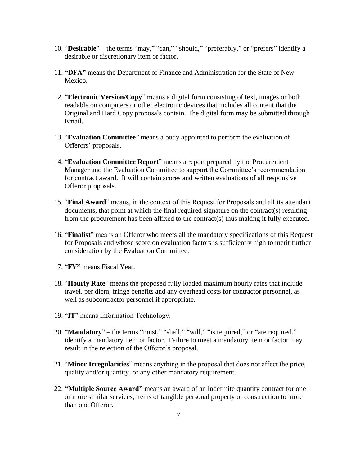- 10. "**Desirable**" the terms "may," "can," "should," "preferably," or "prefers" identify a desirable or discretionary item or factor.
- 11. **"DFA"** means the Department of Finance and Administration for the State of New Mexico.
- 12. "**Electronic Version/Copy**" means a digital form consisting of text, images or both readable on computers or other electronic devices that includes all content that the Original and Hard Copy proposals contain. The digital form may be submitted through Email.
- 13. "**Evaluation Committee**" means a body appointed to perform the evaluation of Offerors' proposals.
- 14. "**Evaluation Committee Report**" means a report prepared by the Procurement Manager and the Evaluation Committee to support the Committee's recommendation for contract award. It will contain scores and written evaluations of all responsive Offeror proposals.
- 15. "**Final Award**" means, in the context of this Request for Proposals and all its attendant documents, that point at which the final required signature on the contract(s) resulting from the procurement has been affixed to the contract(s) thus making it fully executed.
- 16. "**Finalist**" means an Offeror who meets all the mandatory specifications of this Request for Proposals and whose score on evaluation factors is sufficiently high to merit further consideration by the Evaluation Committee.
- 17. "**FY"** means Fiscal Year.
- 18. "**Hourly Rate**" means the proposed fully loaded maximum hourly rates that include travel, per diem, fringe benefits and any overhead costs for contractor personnel, as well as subcontractor personnel if appropriate.
- 19. "**IT**" means Information Technology.
- 20. "**Mandatory**" the terms "must," "shall," "will," "is required," or "are required," identify a mandatory item or factor. Failure to meet a mandatory item or factor may result in the rejection of the Offeror's proposal.
- 21. "**Minor Irregularities**" means anything in the proposal that does not affect the price, quality and/or quantity, or any other mandatory requirement.
- 22. **"Multiple Source Award"** means an award of an indefinite quantity contract for one or more similar services, items of tangible personal property or construction to more than one Offeror.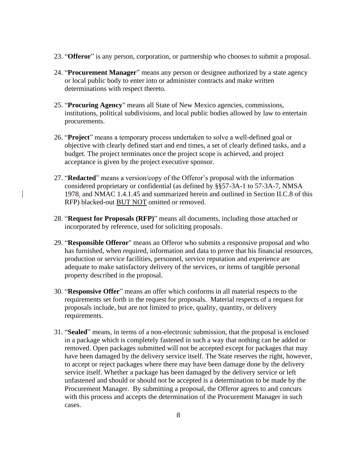- 23. "**Offeror**" is any person, corporation, or partnership who chooses to submit a proposal.
- 24. "**Procurement Manager**" means any person or designee authorized by a state agency or local public body to enter into or administer contracts and make written determinations with respect thereto.
- 25. "**Procuring Agency**" means all State of New Mexico agencies, commissions, institutions, political subdivisions, and local public bodies allowed by law to entertain procurements.
- 26. "**Project**" means a temporary process undertaken to solve a well-defined goal or objective with clearly defined start and end times, a set of clearly defined tasks, and a budget. The project terminates once the project scope is achieved, and project acceptance is given by the project executive sponsor.
- 27. "**Redacted**" means a version/copy of the Offeror's proposal with the information considered proprietary or confidential (as defined by §§57-3A-1 to 57-3A-7, NMSA 1978, and NMAC 1.4.1.45 and summarized herein and outlined in Section II.C.8 of this RFP) blacked-out BUT NOT omitted or removed.
- 28. "**Request for Proposals (RFP)**" means all documents, including those attached or incorporated by reference, used for soliciting proposals.
- 29. "**Responsible Offeror**" means an Offeror who submits a responsive proposal and who has furnished, when required, information and data to prove that his financial resources, production or service facilities, personnel, service reputation and experience are adequate to make satisfactory delivery of the services, or items of tangible personal property described in the proposal.
- 30. "**Responsive Offer**" means an offer which conforms in all material respects to the requirements set forth in the request for proposals. Material respects of a request for proposals include, but are not limited to price, quality, quantity, or delivery requirements.
- 31. "**Sealed**" means, in terms of a non-electronic submission, that the proposal is enclosed in a package which is completely fastened in such a way that nothing can be added or removed. Open packages submitted will not be accepted except for packages that may have been damaged by the delivery service itself. The State reserves the right, however, to accept or reject packages where there may have been damage done by the delivery service itself. Whether a package has been damaged by the delivery service or left unfastened and should or should not be accepted is a determination to be made by the Procurement Manager. By submitting a proposal, the Offeror agrees to and concurs with this process and accepts the determination of the Procurement Manager in such cases.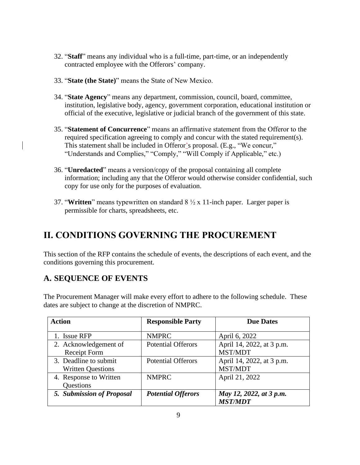- 32. "**Staff**" means any individual who is a full-time, part-time, or an independently contracted employee with the Offerors' company.
- 33. "**State (the State)**" means the State of New Mexico.
- 34. "**State Agency**" means any department, commission, council, board, committee, institution, legislative body, agency, government corporation, educational institution or official of the executive, legislative or judicial branch of the government of this state.
- 35. "**Statement of Concurrence**" means an affirmative statement from the Offeror to the required specification agreeing to comply and concur with the stated requirement(s). This statement shall be included in Offeror's proposal. (E.g., "We concur," "Understands and Complies," "Comply," "Will Comply if Applicable," etc.)
- 36. "**Unredacted**" means a version/copy of the proposal containing all complete information; including any that the Offeror would otherwise consider confidential, such copy for use only for the purposes of evaluation.
- 37. "**Written**" means typewritten on standard 8 ½ x 11-inch paper. Larger paper is permissible for charts, spreadsheets, etc.

# <span id="page-8-0"></span>**II. CONDITIONS GOVERNING THE PROCUREMENT**

This section of the RFP contains the schedule of events, the descriptions of each event, and the conditions governing this procurement.

### <span id="page-8-1"></span>**A. SEQUENCE OF EVENTS**

The Procurement Manager will make every effort to adhere to the following schedule. These dates are subject to change at the discretion of NMPRC.

| <b>Action</b>             | <b>Responsible Party</b>  | <b>Due Dates</b>          |  |
|---------------------------|---------------------------|---------------------------|--|
|                           |                           |                           |  |
| 1. Issue RFP              | <b>NMPRC</b>              | April 6, 2022             |  |
| 2. Acknowledgement of     | <b>Potential Offerors</b> | April 14, 2022, at 3 p.m. |  |
| <b>Receipt Form</b>       |                           | MST/MDT                   |  |
| 3. Deadline to submit     | <b>Potential Offerors</b> | April 14, 2022, at 3 p.m. |  |
| <b>Written Questions</b>  |                           | MST/MDT                   |  |
| 4. Response to Written    | <b>NMPRC</b>              | April 21, 2022            |  |
| Questions                 |                           |                           |  |
| 5. Submission of Proposal | <b>Potential Offerors</b> | May 12, 2022, at 3 p.m.   |  |
|                           |                           | <b>MST/MDT</b>            |  |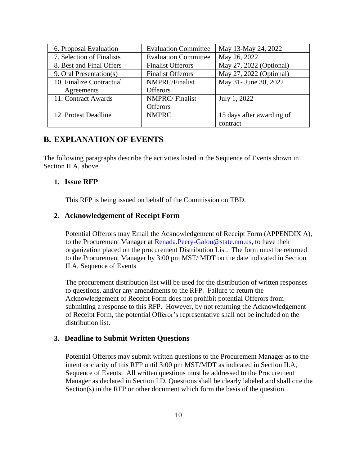| 6. Proposal Evaluation    | <b>Evaluation Committee</b> | May 13-May 24, 2022       |
|---------------------------|-----------------------------|---------------------------|
| 7. Selection of Finalists | <b>Evaluation Committee</b> | May 26, 2022              |
| 8. Best and Final Offers  | <b>Finalist Offerors</b>    | May 27, 2022 (Optional)   |
| 9. Oral Presentation(s)   | <b>Finalist Offerors</b>    | May 27, 2022 (Optional)   |
| 10. Finalize Contractual  | <b>NMPRC/Finalist</b>       | May 31- June 30, 2022     |
| Agreements                | <b>Offerors</b>             |                           |
| 11. Contract Awards       | <b>NMPRC/Finalist</b>       | July 1, 2022              |
|                           | <b>Offerors</b>             |                           |
| 12. Protest Deadline      | <b>NMPRC</b>                | 15 days after awarding of |
|                           |                             | contract                  |

### <span id="page-9-0"></span>**B. EXPLANATION OF EVENTS**

The following paragraphs describe the activities listed in the Sequence of Events shown in Section II.A, above.

### <span id="page-9-1"></span>**1. Issue RFP**

This RFP is being issued on behalf of the Commission on TBD.

### <span id="page-9-2"></span>**2. Acknowledgement of Receipt Form**

Potential Offerors may Email the Acknowledgement of Receipt Form (APPENDIX A), to the Procurement Manager at [Renada.Peery-Galon@state.nm.us,](mailto:Renada.Peery-Galon@state.nm.us) to have their organization placed on the procurement Distribution List. The form must be returned to the Procurement Manager by 3:00 pm MST/ MDT on the date indicated in Section II.A, Sequence of Events

The procurement distribution list will be used for the distribution of written responses to questions, and/or any amendments to the RFP. Failure to return the Acknowledgement of Receipt Form does not prohibit potential Offerors from submitting a response to this RFP. However, by not returning the Acknowledgement of Receipt Form, the potential Offeror's representative shall not be included on the distribution list.

### <span id="page-9-3"></span>**3. Deadline to Submit Written Questions**

Potential Offerors may submit written questions to the Procurement Manager as to the intent or clarity of this RFP until 3:00 pm MST/MDT as indicated in Section II.A, Sequence of Events. All written questions must be addressed to the Procurement Manager as declared in Section I.D. Questions shall be clearly labeled and shall cite the Section(s) in the RFP or other document which form the basis of the question.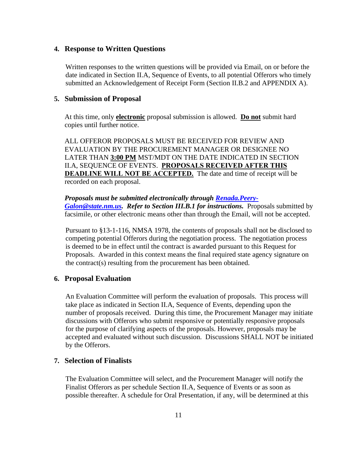### <span id="page-10-0"></span>**4. Response to Written Questions**

Written responses to the written questions will be provided via Email, on or before the date indicated in Section II.A, Sequence of Events, to all potential Offerors who timely submitted an Acknowledgement of Receipt Form (Section II.B.2 and APPENDIX A).

#### <span id="page-10-1"></span>**5. Submission of Proposal**

At this time, only **electronic** proposal submission is allowed. **Do not** submit hard copies until further notice.

ALL OFFEROR PROPOSALS MUST BE RECEIVED FOR REVIEW AND EVALUATION BY THE PROCUREMENT MANAGER OR DESIGNEE NO LATER THAN **3:00 PM** MST/MDT ON THE DATE INDICATED IN SECTION II.A, SEQUENCE OF EVENTS. **PROPOSALS RECEIVED AFTER THIS DEADLINE WILL NOT BE ACCEPTED.** The date and time of receipt will be recorded on each proposal.

### *Proposals must be submitted electronically through [Renada.Peery-](mailto:Renada.Peery-Galon@state.nm.us)*

*[Galon@state.nm.us.](mailto:Renada.Peery-Galon@state.nm.us) Refer to Section III.B.1 for instructions.* Proposals submitted by facsimile, or other electronic means other than through the Email, will not be accepted.

Pursuant to §13-1-116, NMSA 1978, the contents of proposals shall not be disclosed to competing potential Offerors during the negotiation process. The negotiation process is deemed to be in effect until the contract is awarded pursuant to this Request for Proposals. Awarded in this context means the final required state agency signature on the contract(s) resulting from the procurement has been obtained.

### <span id="page-10-2"></span>**6. Proposal Evaluation**

An Evaluation Committee will perform the evaluation of proposals. This process will take place as indicated in Section II.A, Sequence of Events, depending upon the number of proposals received. During this time, the Procurement Manager may initiate discussions with Offerors who submit responsive or potentially responsive proposals for the purpose of clarifying aspects of the proposals. However, proposals may be accepted and evaluated without such discussion. Discussions SHALL NOT be initiated by the Offerors.

### <span id="page-10-3"></span>**7. Selection of Finalists**

The Evaluation Committee will select, and the Procurement Manager will notify the Finalist Offerors as per schedule Section II.A, Sequence of Events or as soon as possible thereafter. A schedule for Oral Presentation, if any, will be determined at this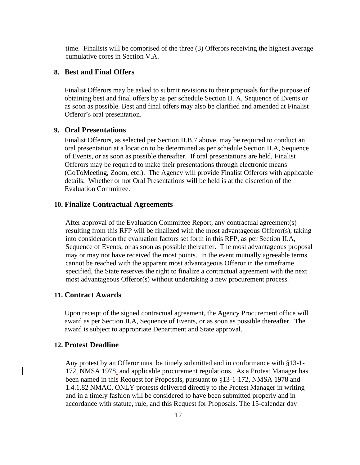time. Finalists will be comprised of the three (3) Offerors receiving the highest average cumulative cores in Section V.A.

### <span id="page-11-0"></span>**8. Best and Final Offers**

Finalist Offerors may be asked to submit revisions to their proposals for the purpose of obtaining best and final offers by as per schedule Section II. A, Sequence of Events or as soon as possible. Best and final offers may also be clarified and amended at Finalist Offeror's oral presentation.

### <span id="page-11-1"></span>**9. Oral Presentations**

Finalist Offerors, as selected per Section II.B.7 above, may be required to conduct an oral presentation at a location to be determined as per schedule Section II.A, Sequence of Events, or as soon as possible thereafter. If oral presentations are held, Finalist Offerors may be required to make their presentations through electronic means (GoToMeeting, Zoom, etc.). The Agency will provide Finalist Offerors with applicable details. Whether or not Oral Presentations will be held is at the discretion of the Evaluation Committee.

#### <span id="page-11-2"></span>**10. Finalize Contractual Agreements**

After approval of the Evaluation Committee Report, any contractual agreement(s) resulting from this RFP will be finalized with the most advantageous Offeror(s), taking into consideration the evaluation factors set forth in this RFP, as per Section II.A, Sequence of Events, or as soon as possible thereafter. The most advantageous proposal may or may not have received the most points. In the event mutually agreeable terms cannot be reached with the apparent most advantageous Offeror in the timeframe specified, the State reserves the right to finalize a contractual agreement with the next most advantageous Offeror(s) without undertaking a new procurement process.

### <span id="page-11-3"></span>**11. Contract Awards**

Upon receipt of the signed contractual agreement, the Agency Procurement office will award as per Section II.A, Sequence of Events, or as soon as possible thereafter. The award is subject to appropriate Department and State approval.

#### <span id="page-11-4"></span>**12. Protest Deadline**

Any protest by an Offeror must be timely submitted and in conformance with §13-1- 172, NMSA 1978, and applicable procurement regulations. As a Protest Manager has been named in this Request for Proposals, pursuant to §13-1-172, NMSA 1978 and 1.4.1.82 NMAC, ONLY protests delivered directly to the Protest Manager in writing and in a timely fashion will be considered to have been submitted properly and in accordance with statute, rule, and this Request for Proposals. The 15-calendar day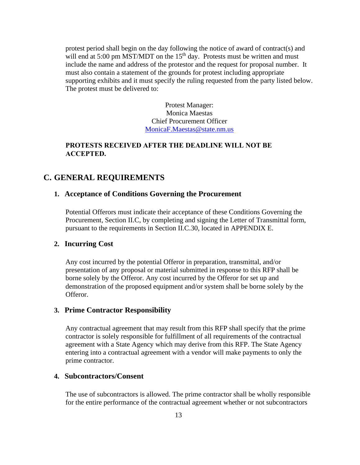protest period shall begin on the day following the notice of award of contract(s) and will end at 5:00 pm MST/MDT on the  $15<sup>th</sup>$  day. Protests must be written and must include the name and address of the protestor and the request for proposal number. It must also contain a statement of the grounds for protest including appropriate supporting exhibits and it must specify the ruling requested from the party listed below. The protest must be delivered to:

> Protest Manager: Monica Maestas Chief Procurement Officer [MonicaF.Maestas@state.nm.us](mailto:MonicaF.Maestas@state.nm.us)

### **PROTESTS RECEIVED AFTER THE DEADLINE WILL NOT BE ACCEPTED.**

### <span id="page-12-1"></span><span id="page-12-0"></span>**C. GENERAL REQUIREMENTS**

### **1. Acceptance of Conditions Governing the Procurement**

Potential Offerors must indicate their acceptance of these Conditions Governing the Procurement, Section II.C, by completing and signing the Letter of Transmittal form, pursuant to the requirements in Section II.C.30, located in APPENDIX E.

#### <span id="page-12-2"></span>**2. Incurring Cost**

Any cost incurred by the potential Offeror in preparation, transmittal, and/or presentation of any proposal or material submitted in response to this RFP shall be borne solely by the Offeror. Any cost incurred by the Offeror for set up and demonstration of the proposed equipment and/or system shall be borne solely by the Offeror.

### <span id="page-12-3"></span>**3. Prime Contractor Responsibility**

Any contractual agreement that may result from this RFP shall specify that the prime contractor is solely responsible for fulfillment of all requirements of the contractual agreement with a State Agency which may derive from this RFP. The State Agency entering into a contractual agreement with a vendor will make payments to only the prime contractor.

### <span id="page-12-4"></span>**4. Subcontractors/Consent**

The use of subcontractors is allowed. The prime contractor shall be wholly responsible for the entire performance of the contractual agreement whether or not subcontractors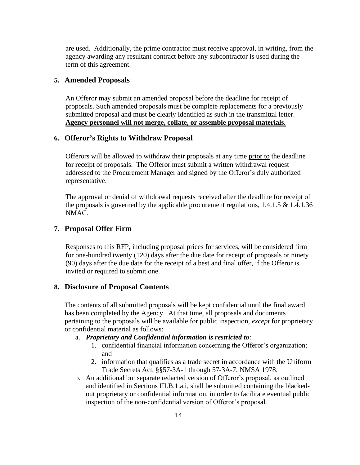are used. Additionally, the prime contractor must receive approval, in writing, from the agency awarding any resultant contract before any subcontractor is used during the term of this agreement.

### <span id="page-13-0"></span>**5. Amended Proposals**

An Offeror may submit an amended proposal before the deadline for receipt of proposals. Such amended proposals must be complete replacements for a previously submitted proposal and must be clearly identified as such in the transmittal letter. **Agency personnel will not merge, collate, or assemble proposal materials.**

### <span id="page-13-1"></span>**6. Offeror's Rights to Withdraw Proposal**

Offerors will be allowed to withdraw their proposals at any time prior to the deadline for receipt of proposals. The Offeror must submit a written withdrawal request addressed to the Procurement Manager and signed by the Offeror's duly authorized representative.

The approval or denial of withdrawal requests received after the deadline for receipt of the proposals is governed by the applicable procurement regulations,  $1.4.1.5 \& 1.4.1.36$ NMAC.

### <span id="page-13-2"></span>**7. Proposal Offer Firm**

Responses to this RFP, including proposal prices for services, will be considered firm for one-hundred twenty (120) days after the due date for receipt of proposals or ninety (90) days after the due date for the receipt of a best and final offer, if the Offeror is invited or required to submit one.

### <span id="page-13-3"></span>**8. Disclosure of Proposal Contents**

The contents of all submitted proposals will be kept confidential until the final award has been completed by the Agency. At that time, all proposals and documents pertaining to the proposals will be available for public inspection, *except* for proprietary or confidential material as follows:

### a. *Proprietary and Confidential information is restricted to*:

- 1. confidential financial information concerning the Offeror's organization; and
- 2. information that qualifies as a trade secret in accordance with the Uniform Trade Secrets Act, §§57-3A-1 through 57-3A-7, NMSA 1978.
- b. An additional but separate redacted version of Offeror's proposal, as outlined and identified in Sections III.B.1.a.i, shall be submitted containing the blackedout proprietary or confidential information, in order to facilitate eventual public inspection of the non-confidential version of Offeror's proposal.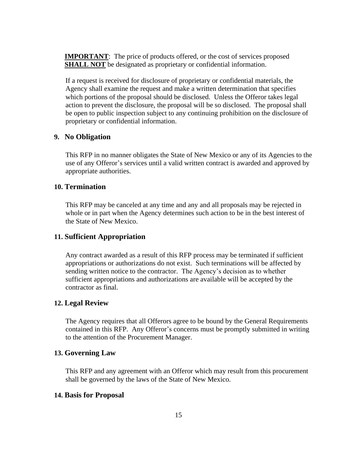**IMPORTANT:** The price of products offered, or the cost of services proposed **SHALL NOT** be designated as proprietary or confidential information.

If a request is received for disclosure of proprietary or confidential materials, the Agency shall examine the request and make a written determination that specifies which portions of the proposal should be disclosed. Unless the Offeror takes legal action to prevent the disclosure, the proposal will be so disclosed. The proposal shall be open to public inspection subject to any continuing prohibition on the disclosure of proprietary or confidential information.

### <span id="page-14-0"></span>**9. No Obligation**

This RFP in no manner obligates the State of New Mexico or any of its Agencies to the use of any Offeror's services until a valid written contract is awarded and approved by appropriate authorities.

### <span id="page-14-1"></span>**10. Termination**

This RFP may be canceled at any time and any and all proposals may be rejected in whole or in part when the Agency determines such action to be in the best interest of the State of New Mexico.

### <span id="page-14-2"></span>**11. Sufficient Appropriation**

Any contract awarded as a result of this RFP process may be terminated if sufficient appropriations or authorizations do not exist. Such terminations will be affected by sending written notice to the contractor. The Agency's decision as to whether sufficient appropriations and authorizations are available will be accepted by the contractor as final.

### <span id="page-14-3"></span>**12. Legal Review**

The Agency requires that all Offerors agree to be bound by the General Requirements contained in this RFP. Any Offeror's concerns must be promptly submitted in writing to the attention of the Procurement Manager.

### <span id="page-14-4"></span>**13. Governing Law**

This RFP and any agreement with an Offeror which may result from this procurement shall be governed by the laws of the State of New Mexico.

### <span id="page-14-5"></span>**14. Basis for Proposal**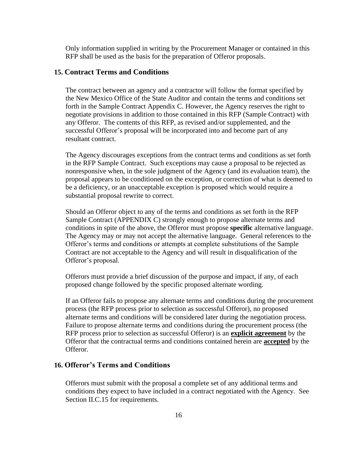Only information supplied in writing by the Procurement Manager or contained in this RFP shall be used as the basis for the preparation of Offeror proposals.

### <span id="page-15-0"></span>**15. Contract Terms and Conditions**

The contract between an agency and a contractor will follow the format specified by the New Mexico Office of the State Auditor and contain the terms and conditions set forth in the Sample Contract Appendix C. However, the Agency reserves the right to negotiate provisions in addition to those contained in this RFP (Sample Contract) with any Offeror. The contents of this RFP, as revised and/or supplemented, and the successful Offeror's proposal will be incorporated into and become part of any resultant contract.

The Agency discourages exceptions from the contract terms and conditions as set forth in the RFP Sample Contract. Such exceptions may cause a proposal to be rejected as nonresponsive when, in the sole judgment of the Agency (and its evaluation team), the proposal appears to be conditioned on the exception, or correction of what is deemed to be a deficiency, or an unacceptable exception is proposed which would require a substantial proposal rewrite to correct.

Should an Offeror object to any of the terms and conditions as set forth in the RFP Sample Contract (APPENDIX C) strongly enough to propose alternate terms and conditions in spite of the above, the Offeror must propose **specific** alternative language. The Agency may or may not accept the alternative language. General references to the Offeror's terms and conditions or attempts at complete substitutions of the Sample Contract are not acceptable to the Agency and will result in disqualification of the Offeror's proposal.

Offerors must provide a brief discussion of the purpose and impact, if any, of each proposed change followed by the specific proposed alternate wording.

If an Offeror fails to propose any alternate terms and conditions during the procurement process (the RFP process prior to selection as successful Offeror), no proposed alternate terms and conditions will be considered later during the negotiation process. Failure to propose alternate terms and conditions during the procurement process (the RFP process prior to selection as successful Offeror) is an **explicit agreement** by the Offeror that the contractual terms and conditions contained herein are **accepted** by the Offeror.

### <span id="page-15-1"></span>**16. Offeror's Terms and Conditions**

Offerors must submit with the proposal a complete set of any additional terms and conditions they expect to have included in a contract negotiated with the Agency. See Section II.C.15 for requirements.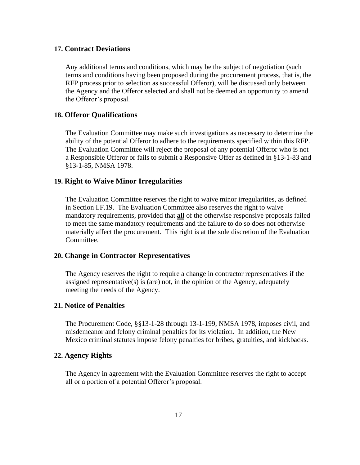### <span id="page-16-0"></span>**17. Contract Deviations**

Any additional terms and conditions, which may be the subject of negotiation (such terms and conditions having been proposed during the procurement process, that is, the RFP process prior to selection as successful Offeror), will be discussed only between the Agency and the Offeror selected and shall not be deemed an opportunity to amend the Offeror's proposal.

### <span id="page-16-1"></span>**18. Offeror Qualifications**

The Evaluation Committee may make such investigations as necessary to determine the ability of the potential Offeror to adhere to the requirements specified within this RFP. The Evaluation Committee will reject the proposal of any potential Offeror who is not a Responsible Offeror or fails to submit a Responsive Offer as defined in §13-1-83 and §13-1-85, NMSA 1978.

#### <span id="page-16-2"></span>**19. Right to Waive Minor Irregularities**

The Evaluation Committee reserves the right to waive minor irregularities, as defined in Section I.F.19. The Evaluation Committee also reserves the right to waive mandatory requirements, provided that **all** of the otherwise responsive proposals failed to meet the same mandatory requirements and the failure to do so does not otherwise materially affect the procurement. This right is at the sole discretion of the Evaluation Committee.

### <span id="page-16-3"></span>**20. Change in Contractor Representatives**

The Agency reserves the right to require a change in contractor representatives if the assigned representative(s) is (are) not, in the opinion of the Agency, adequately meeting the needs of the Agency.

### <span id="page-16-4"></span>**21. Notice of Penalties**

The Procurement Code, §§13-1-28 through 13-1-199, NMSA 1978, imposes civil, and misdemeanor and felony criminal penalties for its violation. In addition, the New Mexico criminal statutes impose felony penalties for bribes, gratuities, and kickbacks.

#### <span id="page-16-5"></span>**22. Agency Rights**

The Agency in agreement with the Evaluation Committee reserves the right to accept all or a portion of a potential Offeror's proposal.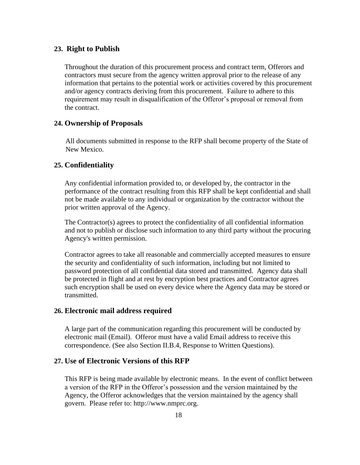#### <span id="page-17-0"></span>**23. Right to Publish**

Throughout the duration of this procurement process and contract term, Offerors and contractors must secure from the agency written approval prior to the release of any information that pertains to the potential work or activities covered by this procurement and/or agency contracts deriving from this procurement. Failure to adhere to this requirement may result in disqualification of the Offeror's proposal or removal from the contract.

### <span id="page-17-1"></span>**24. Ownership of Proposals**

All documents submitted in response to the RFP shall become property of the State of New Mexico.

### <span id="page-17-2"></span>**25. Confidentiality**

Any confidential information provided to, or developed by, the contractor in the performance of the contract resulting from this RFP shall be kept confidential and shall not be made available to any individual or organization by the contractor without the prior written approval of the Agency.

The Contractor(s) agrees to protect the confidentiality of all confidential information and not to publish or disclose such information to any third party without the procuring Agency's written permission.

Contractor agrees to take all reasonable and commercially accepted measures to ensure the security and confidentiality of such information, including but not limited to password protection of all confidential data stored and transmitted. Agency data shall be protected in flight and at rest by encryption best practices and Contractor agrees such encryption shall be used on every device where the Agency data may be stored or transmitted.

#### <span id="page-17-3"></span>**26. Electronic mail address required**

A large part of the communication regarding this procurement will be conducted by electronic mail (Email). Offeror must have a valid Email address to receive this correspondence. (See also Section II.B.4, Response to Written Questions).

### <span id="page-17-4"></span>**27. Use of Electronic Versions of this RFP**

This RFP is being made available by electronic means. In the event of conflict between a version of the RFP in the Offeror's possession and the version maintained by the Agency, the Offeror acknowledges that the version maintained by the agency shall govern. Please refer to: http://www.nmprc.org.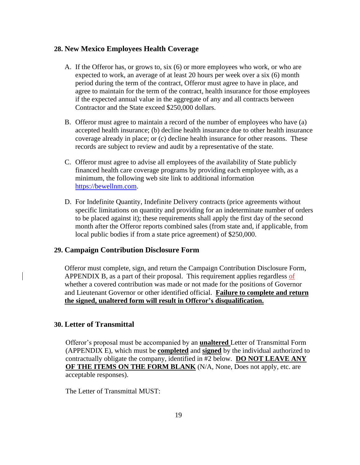### <span id="page-18-0"></span>**28. New Mexico Employees Health Coverage**

- A. If the Offeror has, or grows to, six (6) or more employees who work, or who are expected to work, an average of at least 20 hours per week over a six (6) month period during the term of the contract, Offeror must agree to have in place, and agree to maintain for the term of the contract, health insurance for those employees if the expected annual value in the aggregate of any and all contracts between Contractor and the State exceed \$250,000 dollars.
- B. Offeror must agree to maintain a record of the number of employees who have (a) accepted health insurance; (b) decline health insurance due to other health insurance coverage already in place; or (c) decline health insurance for other reasons. These records are subject to review and audit by a representative of the state.
- C. Offeror must agree to advise all employees of the availability of State publicly financed health care coverage programs by providing each employee with, as a minimum, the following web site link to additional information [https://bewellnm.com.](https://bewellnm.com/)
- D. For Indefinite Quantity, Indefinite Delivery contracts (price agreements without specific limitations on quantity and providing for an indeterminate number of orders to be placed against it); these requirements shall apply the first day of the second month after the Offeror reports combined sales (from state and, if applicable, from local public bodies if from a state price agreement) of \$250,000.

### <span id="page-18-1"></span>**29. Campaign Contribution Disclosure Form**

Offeror must complete, sign, and return the Campaign Contribution Disclosure Form, APPENDIX B, as a part of their proposal. This requirement applies regardless of whether a covered contribution was made or not made for the positions of Governor and Lieutenant Governor or other identified official. **Failure to complete and return the signed, unaltered form will result in Offeror's disqualification.**

### <span id="page-18-2"></span>**30. Letter of Transmittal**

Offeror's proposal must be accompanied by an **unaltered** Letter of Transmittal Form (APPENDIX E), which must be **completed** and **signed** by the individual authorized to contractually obligate the company, identified in #2 below. **DO NOT LEAVE ANY OF THE ITEMS ON THE FORM BLANK** (N/A, None, Does not apply, etc. are acceptable responses).

The Letter of Transmittal MUST: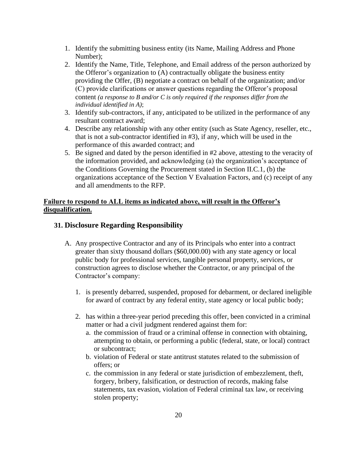- 1. Identify the submitting business entity (its Name, Mailing Address and Phone Number);
- 2. Identify the Name, Title, Telephone, and Email address of the person authorized by the Offeror's organization to (A) contractually obligate the business entity providing the Offer, (B) negotiate a contract on behalf of the organization; and/or (C) provide clarifications or answer questions regarding the Offeror's proposal content *(a response to B and/or C is only required if the responses differ from the individual identified in A)*;
- 3. Identify sub-contractors, if any, anticipated to be utilized in the performance of any resultant contract award;
- 4. Describe any relationship with any other entity (such as State Agency, reseller, etc., that is not a sub-contractor identified in #3), if any, which will be used in the performance of this awarded contract; and
- 5. Be signed and dated by the person identified in #2 above, attesting to the veracity of the information provided, and acknowledging (a) the organization's acceptance of the Conditions Governing the Procurement stated in Section II.C.1, (b) the organizations acceptance of the Section V Evaluation Factors, and (c) receipt of any and all amendments to the RFP.

### **Failure to respond to ALL items as indicated above, will result in the Offeror's disqualification.**

### <span id="page-19-0"></span>**31. Disclosure Regarding Responsibility**

- A. Any prospective Contractor and any of its Principals who enter into a contract greater than sixty thousand dollars (\$60,000.00) with any state agency or local public body for professional services, tangible personal property, services, or construction agrees to disclose whether the Contractor, or any principal of the Contractor's company:
	- 1. is presently debarred, suspended, proposed for debarment, or declared ineligible for award of contract by any federal entity, state agency or local public body;
	- 2. has within a three-year period preceding this offer, been convicted in a criminal matter or had a civil judgment rendered against them for:
		- a. the commission of fraud or a criminal offense in connection with obtaining, attempting to obtain, or performing a public (federal, state, or local) contract or subcontract;
		- b. violation of Federal or state antitrust statutes related to the submission of offers; or
		- c. the commission in any federal or state jurisdiction of embezzlement, theft, forgery, bribery, falsification, or destruction of records, making false statements, tax evasion, violation of Federal criminal tax law, or receiving stolen property;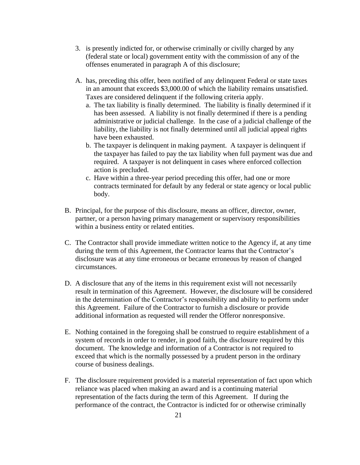- 3. is presently indicted for, or otherwise criminally or civilly charged by any (federal state or local) government entity with the commission of any of the offenses enumerated in paragraph A of this disclosure;
- A. has, preceding this offer, been notified of any delinquent Federal or state taxes in an amount that exceeds \$3,000.00 of which the liability remains unsatisfied. Taxes are considered delinquent if the following criteria apply.
	- a. The tax liability is finally determined. The liability is finally determined if it has been assessed. A liability is not finally determined if there is a pending administrative or judicial challenge. In the case of a judicial challenge of the liability, the liability is not finally determined until all judicial appeal rights have been exhausted.
	- b. The taxpayer is delinquent in making payment. A taxpayer is delinquent if the taxpayer has failed to pay the tax liability when full payment was due and required. A taxpayer is not delinquent in cases where enforced collection action is precluded.
	- c. Have within a three-year period preceding this offer, had one or more contracts terminated for default by any federal or state agency or local public body.
- B. Principal, for the purpose of this disclosure, means an officer, director, owner, partner, or a person having primary management or supervisory responsibilities within a business entity or related entities.
- C. The Contractor shall provide immediate written notice to the Agency if, at any time during the term of this Agreement, the Contractor learns that the Contractor's disclosure was at any time erroneous or became erroneous by reason of changed circumstances.
- D. A disclosure that any of the items in this requirement exist will not necessarily result in termination of this Agreement. However, the disclosure will be considered in the determination of the Contractor's responsibility and ability to perform under this Agreement. Failure of the Contractor to furnish a disclosure or provide additional information as requested will render the Offeror nonresponsive.
- E. Nothing contained in the foregoing shall be construed to require establishment of a system of records in order to render, in good faith, the disclosure required by this document. The knowledge and information of a Contractor is not required to exceed that which is the normally possessed by a prudent person in the ordinary course of business dealings.
- F. The disclosure requirement provided is a material representation of fact upon which reliance was placed when making an award and is a continuing material representation of the facts during the term of this Agreement. If during the performance of the contract, the Contractor is indicted for or otherwise criminally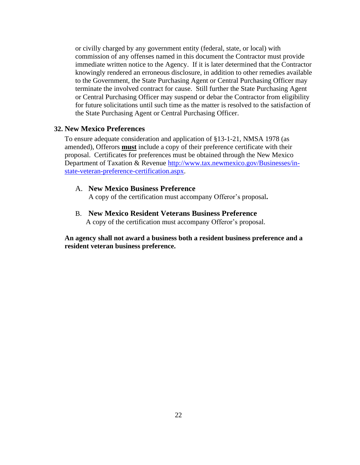or civilly charged by any government entity (federal, state, or local) with commission of any offenses named in this document the Contractor must provide immediate written notice to the Agency. If it is later determined that the Contractor knowingly rendered an erroneous disclosure, in addition to other remedies available to the Government, the State Purchasing Agent or Central Purchasing Officer may terminate the involved contract for cause. Still further the State Purchasing Agent or Central Purchasing Officer may suspend or debar the Contractor from eligibility for future solicitations until such time as the matter is resolved to the satisfaction of the State Purchasing Agent or Central Purchasing Officer.

### <span id="page-21-0"></span>**32. New Mexico Preferences**

To ensure adequate consideration and application of §13-1-21, NMSA 1978 (as amended), Offerors **must** include a copy of their preference certificate with their proposal. Certificates for preferences must be obtained through the New Mexico Department of Taxation & Revenue [http://www.tax.newmexico.gov/Businesses/in](http://www.tax.newmexico.gov/Businesses/in-state-veteran-preference-certification.aspx)[state-veteran-preference-certification.aspx.](http://www.tax.newmexico.gov/Businesses/in-state-veteran-preference-certification.aspx)

### A. **New Mexico Business Preference**

A copy of the certification must accompany Offeror's proposal**.**

B. **New Mexico Resident Veterans Business Preference**

A copy of the certification must accompany Offeror's proposal.

**An agency shall not award a business both a resident business preference and a resident veteran business preference.**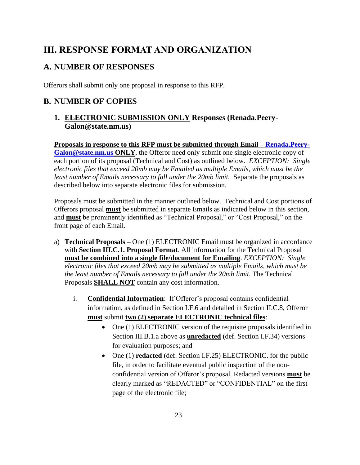### <span id="page-22-0"></span>**III. RESPONSE FORMAT AND ORGANIZATION**

### <span id="page-22-1"></span>**A. NUMBER OF RESPONSES**

Offerors shall submit only one proposal in response to this RFP.

### <span id="page-22-3"></span><span id="page-22-2"></span>**B. NUMBER OF COPIES**

### **1. ELECTRONIC SUBMISSION ONLY Responses (Renada.Peery-Galon@state.nm.us)**

**Proposals in response to this RFP must be submitted through Email – [Renada.Peery-](mailto:Renada.Peery-Galon@state.nm.us)[Galon@state.nm.us](mailto:Renada.Peery-Galon@state.nm.us) ONLY**, the Offeror need only submit one single electronic copy of each portion of its proposal (Technical and Cost) as outlined below. *EXCEPTION: Single electronic files that exceed 20mb may be Emailed as multiple Emails, which must be the least number of Emails necessary to fall under the 20mb limit.* Separate the proposals as described below into separate electronic files for submission.

Proposals must be submitted in the manner outlined below. Technical and Cost portions of Offerors proposal **must** be submitted in separate Emails as indicated below in this section, and **must** be prominently identified as "Technical Proposal," or "Cost Proposal," on the front page of each Email.

- a) **Technical Proposals –** One (1) ELECTRONIC Email must be organized in accordance with **Section III.C.1. Proposal Format**. All information for the Technical Proposal **must be combined into a single file/document for Emailing**. *EXCEPTION: Single electronic files that exceed 20mb may be submitted as multiple Emails, which must be the least number of Emails necessary to fall under the 20mb limit.* The Technical Proposals **SHALL NOT** contain any cost information.
	- i. **Confidential Information**: If Offeror's proposal contains confidential information, as defined in Section I.F.6 and detailed in Section II.C.8, Offeror **must** submit **two (2) separate ELECTRONIC technical files**:
		- One (1) ELECTRONIC version of the requisite proposals identified in Section III.B.1.a above as **unredacted** (def. Section I.F.34) versions for evaluation purposes; and
		- One (1) **redacted** (def. Section I.F.25) ELECTRONIC. for the public file, in order to facilitate eventual public inspection of the nonconfidential version of Offeror's proposal. Redacted versions **must** be clearly marked as "REDACTED" or "CONFIDENTIAL" on the first page of the electronic file;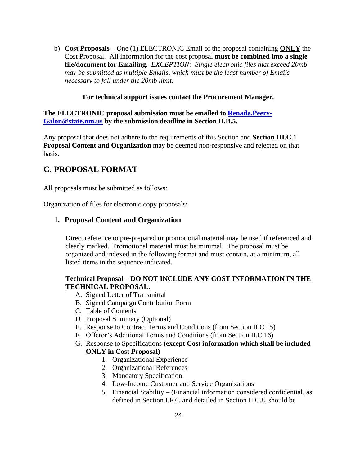b) **Cost Proposals –** One (1) ELECTRONIC Email of the proposal containing **ONLY** the Cost Proposal. All information for the cost proposal **must be combined into a single file/document for Emailing**. *EXCEPTION: Single electronic files that exceed 20mb may be submitted as multiple Emails, which must be the least number of Emails necessary to fall under the 20mb limit.*

### **For technical support issues contact the Procurement Manager.**

### **The ELECTRONIC proposal submission must be emailed to [Renada.Peery-](mailto:Renada.Peery-Galon@state.nm.us)[Galon@state.nm.us](mailto:Renada.Peery-Galon@state.nm.us) by the submission deadline in Section II.B.5.**

Any proposal that does not adhere to the requirements of this Section and **Section III.C.1 Proposal Content and Organization** may be deemed non-responsive and rejected on that basis.

### <span id="page-23-0"></span>**C. PROPOSAL FORMAT**

All proposals must be submitted as follows:

<span id="page-23-1"></span>Organization of files for electronic copy proposals:

### **1. Proposal Content and Organization**

Direct reference to pre-prepared or promotional material may be used if referenced and clearly marked. Promotional material must be minimal. The proposal must be organized and indexed in the following format and must contain, at a minimum, all listed items in the sequence indicated.

### **Technical Proposal** – **DO NOT INCLUDE ANY COST INFORMATION IN THE TECHNICAL PROPOSAL.**

- A. Signed Letter of Transmittal
- B. Signed Campaign Contribution Form
- C. Table of Contents
- D. Proposal Summary (Optional)
- E. Response to Contract Terms and Conditions (from Section II.C.15)
- F. Offeror's Additional Terms and Conditions (from Section II.C.16)
- G. Response to Specifications **(except Cost information which shall be included ONLY in Cost Proposal)** 
	- 1. Organizational Experience
	- 2. Organizational References
	- 3. Mandatory Specification
	- 4. Low-Income Customer and Service Organizations
	- 5. Financial Stability (Financial information considered confidential, as defined in Section I.F.6. and detailed in Section II.C.8, should be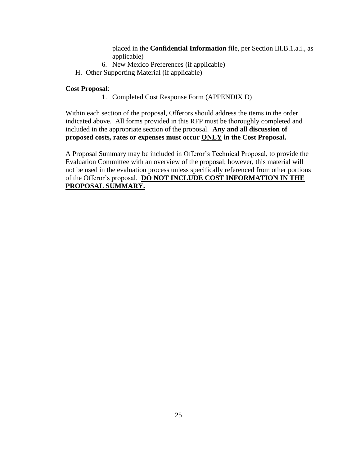placed in the **Confidential Information** file, per Section III.B.1.a.i., as applicable)

- 6. New Mexico Preferences (if applicable)
- H. Other Supporting Material (if applicable)

### **Cost Proposal**:

1. Completed Cost Response Form (APPENDIX D)

Within each section of the proposal, Offerors should address the items in the order indicated above. All forms provided in this RFP must be thoroughly completed and included in the appropriate section of the proposal. **Any and all discussion of proposed costs, rates or expenses must occur ONLY in the Cost Proposal.**

A Proposal Summary may be included in Offeror's Technical Proposal, to provide the Evaluation Committee with an overview of the proposal; however, this material will not be used in the evaluation process unless specifically referenced from other portions of the Offeror's proposal. **DO NOT INCLUDE COST INFORMATION IN THE PROPOSAL SUMMARY.**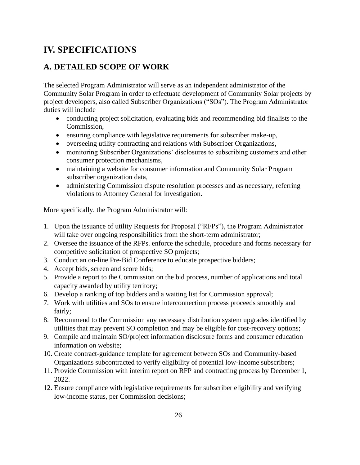### <span id="page-25-0"></span>**IV. SPECIFICATIONS**

### <span id="page-25-1"></span>**A. DETAILED SCOPE OF WORK**

The selected Program Administrator will serve as an independent administrator of the Community Solar Program in order to effectuate development of Community Solar projects by project developers, also called Subscriber Organizations ("SOs"). The Program Administrator duties will include

- conducting project solicitation, evaluating bids and recommending bid finalists to the Commission,
- ensuring compliance with legislative requirements for subscriber make-up,
- overseeing utility contracting and relations with Subscriber Organizations,
- monitoring Subscriber Organizations' disclosures to subscribing customers and other consumer protection mechanisms,
- maintaining a website for consumer information and Community Solar Program subscriber organization data,
- administering Commission dispute resolution processes and as necessary, referring violations to Attorney General for investigation.

More specifically, the Program Administrator will:

- 1. Upon the issuance of utility Requests for Proposal ("RFPs"), the Program Administrator will take over ongoing responsibilities from the short-term administrator;
- 2. Oversee the issuance of the RFPs. enforce the schedule, procedure and forms necessary for competitive solicitation of prospective SO projects;
- 3. Conduct an on-line Pre-Bid Conference to educate prospective bidders;
- 4. Accept bids, screen and score bids;
- 5. Provide a report to the Commission on the bid process, number of applications and total capacity awarded by utility territory;
- 6. Develop a ranking of top bidders and a waiting list for Commission approval;
- 7. Work with utilities and SOs to ensure interconnection process proceeds smoothly and fairly;
- 8. Recommend to the Commission any necessary distribution system upgrades identified by utilities that may prevent SO completion and may be eligible for cost-recovery options;
- 9. Compile and maintain SO/project information disclosure forms and consumer education information on website;
- 10. Create contract-guidance template for agreement between SOs and Community-based Organizations subcontracted to verify eligibility of potential low-income subscribers;
- 11. Provide Commission with interim report on RFP and contracting process by December 1, 2022.
- 12. Ensure compliance with legislative requirements for subscriber eligibility and verifying low-income status, per Commission decisions;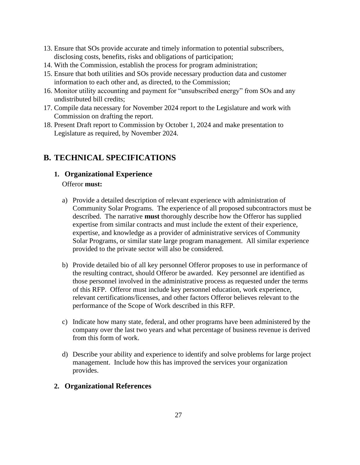- 13. Ensure that SOs provide accurate and timely information to potential subscribers, disclosing costs, benefits, risks and obligations of participation;
- 14. With the Commission, establish the process for program administration;
- 15. Ensure that both utilities and SOs provide necessary production data and customer information to each other and, as directed, to the Commission;
- 16. Monitor utility accounting and payment for "unsubscribed energy" from SOs and any undistributed bill credits;
- 17. Compile data necessary for November 2024 report to the Legislature and work with Commission on drafting the report.
- 18. Present Draft report to Commission by October 1, 2024 and make presentation to Legislature as required, by November 2024.

### <span id="page-26-1"></span><span id="page-26-0"></span>**B. TECHNICAL SPECIFICATIONS**

- **1. Organizational Experience** Offeror **must:**
	- a) Provide a detailed description of relevant experience with administration of Community Solar Programs. The experience of all proposed subcontractors must be described. The narrative **must** thoroughly describe how the Offeror has supplied expertise from similar contracts and must include the extent of their experience, expertise, and knowledge as a provider of administrative services of Community Solar Programs, or similar state large program management. All similar experience provided to the private sector will also be considered.
	- b) Provide detailed bio of all key personnel Offeror proposes to use in performance of the resulting contract, should Offeror be awarded. Key personnel are identified as those personnel involved in the administrative process as requested under the terms of this RFP. Offeror must include key personnel education, work experience, relevant certifications/licenses, and other factors Offeror believes relevant to the performance of the Scope of Work described in this RFP.
	- c) Indicate how many state, federal, and other programs have been administered by the company over the last two years and what percentage of business revenue is derived from this form of work.
	- d) Describe your ability and experience to identify and solve problems for large project management. Include how this has improved the services your organization provides.

### <span id="page-26-2"></span>**2. Organizational References**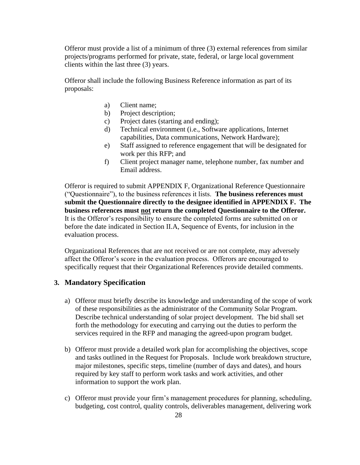Offeror must provide a list of a minimum of three (3) external references from similar projects/programs performed for private, state, federal, or large local government clients within the last three (3) years.

Offeror shall include the following Business Reference information as part of its proposals:

- a) Client name;
- b) Project description;
- c) Project dates (starting and ending);
- d) Technical environment (i.e., Software applications, Internet capabilities, Data communications, Network Hardware);
- e) Staff assigned to reference engagement that will be designated for work per this RFP; and
- f) Client project manager name, telephone number, fax number and Email address.

Offeror is required to submit APPENDIX F, Organizational Reference Questionnaire ("Questionnaire"), to the business references it lists. **The business references must submit the Questionnaire directly to the designee identified in APPENDIX F. The business references must not return the completed Questionnaire to the Offeror.** It is the Offeror's responsibility to ensure the completed forms are submitted on or before the date indicated in Section II.A, Sequence of Events, for inclusion in the evaluation process.

Organizational References that are not received or are not complete, may adversely affect the Offeror's score in the evaluation process. Offerors are encouraged to specifically request that their Organizational References provide detailed comments.

### <span id="page-27-0"></span>**3. Mandatory Specification**

- a) Offeror must briefly describe its knowledge and understanding of the scope of work of these responsibilities as the administrator of the Community Solar Program. Describe technical understanding of solar project development. The bid shall set forth the methodology for executing and carrying out the duties to perform the services required in the RFP and managing the agreed-upon program budget.
- b) Offeror must provide a detailed work plan for accomplishing the objectives, scope and tasks outlined in the Request for Proposals. Include work breakdown structure, major milestones, specific steps, timeline (number of days and dates), and hours required by key staff to perform work tasks and work activities, and other information to support the work plan.
- c) Offeror must provide your firm's management procedures for planning, scheduling, budgeting, cost control, quality controls, deliverables management, delivering work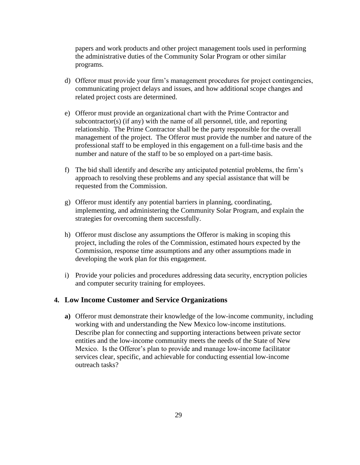papers and work products and other project management tools used in performing the administrative duties of the Community Solar Program or other similar programs.

- d) Offeror must provide your firm's management procedures for project contingencies, communicating project delays and issues, and how additional scope changes and related project costs are determined.
- e) Offeror must provide an organizational chart with the Prime Contractor and subcontractor(s) (if any) with the name of all personnel, title, and reporting relationship. The Prime Contractor shall be the party responsible for the overall management of the project. The Offeror must provide the number and nature of the professional staff to be employed in this engagement on a full-time basis and the number and nature of the staff to be so employed on a part-time basis.
- f) The bid shall identify and describe any anticipated potential problems, the firm's approach to resolving these problems and any special assistance that will be requested from the Commission.
- g) Offeror must identify any potential barriers in planning, coordinating, implementing, and administering the Community Solar Program, and explain the strategies for overcoming them successfully.
- h) Offeror must disclose any assumptions the Offeror is making in scoping this project, including the roles of the Commission, estimated hours expected by the Commission, response time assumptions and any other assumptions made in developing the work plan for this engagement.
- i) Provide your policies and procedures addressing data security, encryption policies and computer security training for employees.

### **4. Low Income Customer and Service Organizations**

**a)** Offeror must demonstrate their knowledge of the low-income community, including working with and understanding the New Mexico low-income institutions. Describe plan for connecting and supporting interactions between private sector entities and the low-income community meets the needs of the State of New Mexico. Is the Offeror's plan to provide and manage low-income facilitator services clear, specific, and achievable for conducting essential low-income outreach tasks?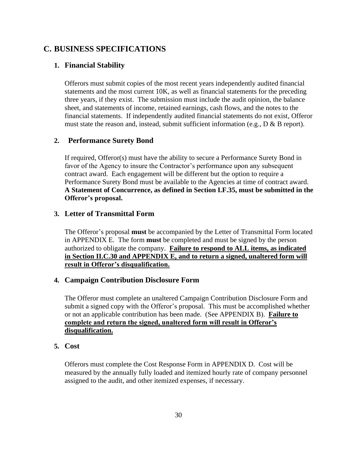### <span id="page-29-1"></span><span id="page-29-0"></span>**C. BUSINESS SPECIFICATIONS**

### **1. Financial Stability**

Offerors must submit copies of the most recent years independently audited financial statements and the most current 10K, as well as financial statements for the preceding three years, if they exist. The submission must include the audit opinion, the balance sheet, and statements of income, retained earnings, cash flows, and the notes to the financial statements. If independently audited financial statements do not exist, Offeror must state the reason and, instead, submit sufficient information (e.g.,  $D \& B$  report).

### **2. Performance Surety Bond**

If required, Offeror(s) must have the ability to secure a Performance Surety Bond in favor of the Agency to insure the Contractor's performance upon any subsequent contract award. Each engagement will be different but the option to require a Performance Surety Bond must be available to the Agencies at time of contract award. **A Statement of Concurrence, as defined in Section I.F.35, must be submitted in the Offeror's proposal.**

### <span id="page-29-2"></span>**3. Letter of Transmittal Form**

The Offeror's proposal **must** be accompanied by the Letter of Transmittal Form located in APPENDIX E. The form **must** be completed and must be signed by the person authorized to obligate the company. **Failure to respond to ALL items, as indicated in Section II.C.30 and APPENDIX E, and to return a signed, unaltered form will result in Offeror's disqualification.**

### <span id="page-29-3"></span>**4. Campaign Contribution Disclosure Form**

The Offeror must complete an unaltered Campaign Contribution Disclosure Form and submit a signed copy with the Offeror's proposal. This must be accomplished whether or not an applicable contribution has been made. (See APPENDIX B). **Failure to complete and return the signed, unaltered form will result in Offeror's disqualification.**

### <span id="page-29-4"></span>**5. Cost**

Offerors must complete the Cost Response Form in APPENDIX D. Cost will be measured by the annually fully loaded and itemized hourly rate of company personnel assigned to the audit, and other itemized expenses, if necessary.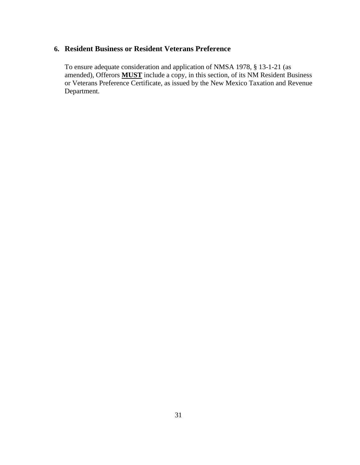### <span id="page-30-0"></span>**6. Resident Business or Resident Veterans Preference**

To ensure adequate consideration and application of NMSA 1978, § 13-1-21 (as amended), Offerors **MUST** include a copy, in this section, of its NM Resident Business or Veterans Preference Certificate, as issued by the New Mexico Taxation and Revenue Department.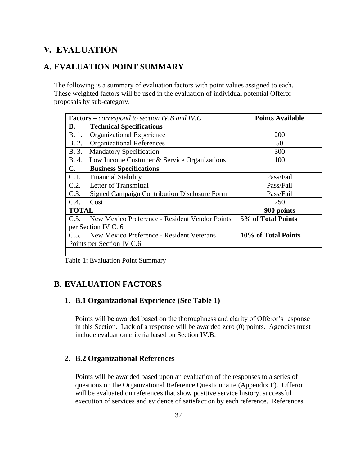### <span id="page-31-0"></span>**V. EVALUATION**

### <span id="page-31-1"></span>**A. EVALUATION POINT SUMMARY**

The following is a summary of evaluation factors with point values assigned to each. These weighted factors will be used in the evaluation of individual potential Offeror proposals by sub-category.

| <b>Factors</b> – correspond to section IV.B and IV.C |                                                     | <b>Points Available</b> |
|------------------------------------------------------|-----------------------------------------------------|-------------------------|
| В.                                                   | <b>Technical Specifications</b>                     |                         |
| B. 1.                                                | <b>Organizational Experience</b>                    | <b>200</b>              |
| <b>B.</b> 2.                                         | <b>Organizational References</b>                    | 50                      |
| B. 3.                                                | <b>Mandatory Specification</b>                      | 300                     |
| B. 4.                                                | Low Income Customer & Service Organizations         | 100                     |
| $\mathbf{C}$ .                                       | <b>Business Specifications</b>                      |                         |
| C.1.                                                 | <b>Financial Stability</b>                          | Pass/Fail               |
| C.2.                                                 | Letter of Transmittal                               | Pass/Fail               |
| C.3.                                                 | <b>Signed Campaign Contribution Disclosure Form</b> | Pass/Fail               |
| C.4.                                                 | Cost                                                | 250                     |
| <b>TOTAL</b>                                         |                                                     | 900 points              |
| C.5.                                                 | New Mexico Preference - Resident Vendor Points      | 5% of Total Points      |
|                                                      | per Section IV C. 6                                 |                         |
|                                                      | C.5. New Mexico Preference - Resident Veterans      | 10% of Total Points     |
|                                                      | Points per Section IV C.6                           |                         |
|                                                      |                                                     |                         |

Table 1: Evaluation Point Summary

### <span id="page-31-3"></span><span id="page-31-2"></span>**B. EVALUATION FACTORS**

### **1. B.1 Organizational Experience (See Table 1)**

Points will be awarded based on the thoroughness and clarity of Offeror's response in this Section. Lack of a response will be awarded zero (0) points. Agencies must include evaluation criteria based on Section IV.B.

### <span id="page-31-4"></span>**2. B.2 Organizational References**

Points will be awarded based upon an evaluation of the responses to a series of questions on the Organizational Reference Questionnaire (Appendix F). Offeror will be evaluated on references that show positive service history, successful execution of services and evidence of satisfaction by each reference. References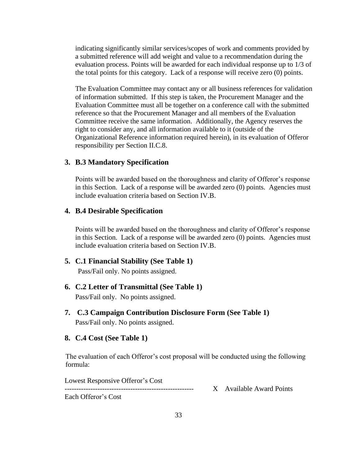indicating significantly similar services/scopes of work and comments provided by a submitted reference will add weight and value to a recommendation during the evaluation process. Points will be awarded for each individual response up to 1/3 of the total points for this category. Lack of a response will receive zero (0) points.

The Evaluation Committee may contact any or all business references for validation of information submitted. If this step is taken, the Procurement Manager and the Evaluation Committee must all be together on a conference call with the submitted reference so that the Procurement Manager and all members of the Evaluation Committee receive the same information. Additionally, the Agency reserves the right to consider any, and all information available to it (outside of the Organizational Reference information required herein), in its evaluation of Offeror responsibility per Section II.C.8.

### **3. B.3 Mandatory Specification**

Points will be awarded based on the thoroughness and clarity of Offeror's response in this Section. Lack of a response will be awarded zero (0) points. Agencies must include evaluation criteria based on Section IV.B.

### <span id="page-32-0"></span>**4. B.4 Desirable Specification**

Points will be awarded based on the thoroughness and clarity of Offeror's response in this Section. Lack of a response will be awarded zero (0) points. Agencies must include evaluation criteria based on Section IV.B.

<span id="page-32-1"></span>**5. C.1 Financial Stability (See Table 1)**

Pass/Fail only. No points assigned.

<span id="page-32-2"></span>**6. C.2 Letter of Transmittal (See Table 1)**

<span id="page-32-3"></span>Pass/Fail only. No points assigned.

**7. C.3 Campaign Contribution Disclosure Form (See Table 1)** Pass/Fail only. No points assigned.

### <span id="page-32-4"></span>**8. C.4 Cost (See Table 1)**

The evaluation of each Offeror's cost proposal will be conducted using the following formula:

Lowest Responsive Offeror's Cost

------------------------------------------------------- X Available Award Points

Each Offeror's Cost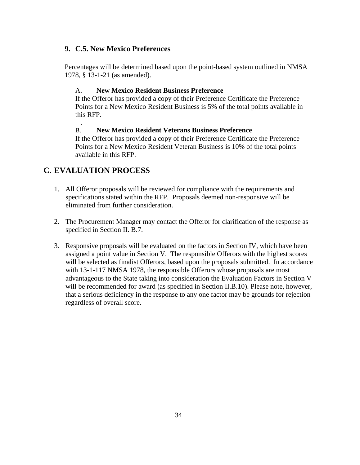### <span id="page-33-0"></span>**9. C.5. New Mexico Preferences**

Percentages will be determined based upon the point-based system outlined in NMSA 1978, § 13-1-21 (as amended).

### A. **New Mexico Resident Business Preference**

If the Offeror has provided a copy of their Preference Certificate the Preference Points for a New Mexico Resident Business is 5% of the total points available in this RFP.

### B. **New Mexico Resident Veterans Business Preference**

If the Offeror has provided a copy of their Preference Certificate the Preference Points for a New Mexico Resident Veteran Business is 10% of the total points available in this RFP.

### <span id="page-33-1"></span>**C. EVALUATION PROCESS**

.

- 1. All Offeror proposals will be reviewed for compliance with the requirements and specifications stated within the RFP. Proposals deemed non-responsive will be eliminated from further consideration.
- 2. The Procurement Manager may contact the Offeror for clarification of the response as specified in Section II. B.7.
- 3. Responsive proposals will be evaluated on the factors in Section IV, which have been assigned a point value in Section V. The responsible Offerors with the highest scores will be selected as finalist Offerors, based upon the proposals submitted. In accordance with 13-1-117 NMSA 1978, the responsible Offerors whose proposals are most advantageous to the State taking into consideration the Evaluation Factors in Section V will be recommended for award (as specified in Section II.B.10). Please note, however, that a serious deficiency in the response to any one factor may be grounds for rejection regardless of overall score.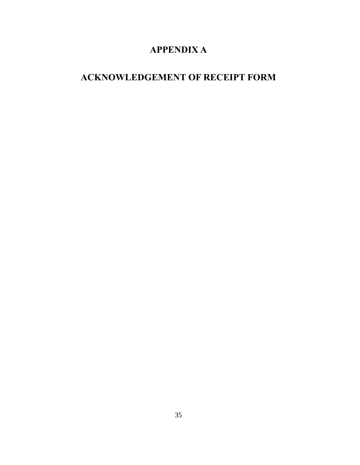# **APPENDIX A**

# <span id="page-34-1"></span><span id="page-34-0"></span>**ACKNOWLEDGEMENT OF RECEIPT FORM**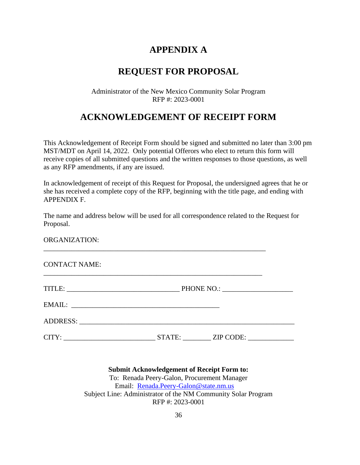### **APPENDIX A**

### **REQUEST FOR PROPOSAL**

### Administrator of the New Mexico Community Solar Program RFP #: 2023-0001

### **ACKNOWLEDGEMENT OF RECEIPT FORM**

This Acknowledgement of Receipt Form should be signed and submitted no later than 3:00 pm MST/MDT on April 14, 2022. Only potential Offerors who elect to return this form will receive copies of all submitted questions and the written responses to those questions, as well as any RFP amendments, if any are issued.

In acknowledgement of receipt of this Request for Proposal, the undersigned agrees that he or she has received a complete copy of the RFP, beginning with the title page, and ending with APPENDIX F.

The name and address below will be used for all correspondence related to the Request for Proposal.

\_\_\_\_\_\_\_\_\_\_\_\_\_\_\_\_\_\_\_\_\_\_\_\_\_\_\_\_\_\_\_\_\_\_\_\_\_\_\_\_\_\_\_\_\_\_\_\_\_\_\_\_\_\_\_\_\_\_\_\_\_\_\_

\_\_\_\_\_\_\_\_\_\_\_\_\_\_\_\_\_\_\_\_\_\_\_\_\_\_\_\_\_\_\_\_\_\_\_\_\_\_\_\_\_\_\_\_\_\_\_\_\_\_\_\_\_\_\_\_\_\_\_\_\_\_

ORGANIZATION:

CONTACT NAME:

| TITLE:                                           |        |           |  |
|--------------------------------------------------|--------|-----------|--|
| EMAIL:                                           |        |           |  |
|                                                  |        |           |  |
| CITY:<br><u> 1990 - Johann Barbara, martin a</u> | STATE: | ZIP CODE: |  |

**Submit Acknowledgement of Receipt Form to:** To: Renada Peery-Galon, Procurement Manager Email: [Renada.Peery-Galon@state.nm.us](mailto:Renada.Peery-Galon@state.nm.us) Subject Line: Administrator of the NM Community Solar Program RFP #: 2023-0001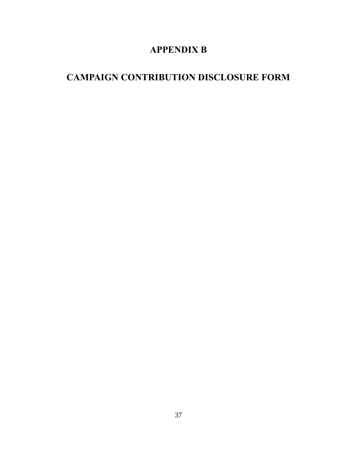# **APPENDIX B**

# <span id="page-36-1"></span><span id="page-36-0"></span>**CAMPAIGN CONTRIBUTION DISCLOSURE FORM**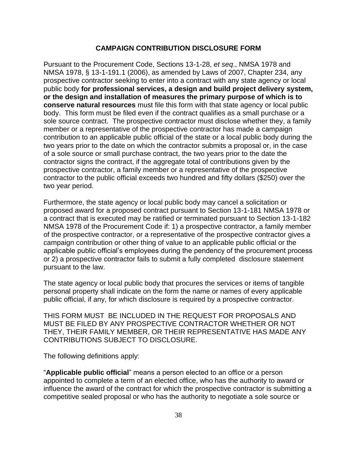### **CAMPAIGN CONTRIBUTION DISCLOSURE FORM**

Pursuant to the Procurement Code, Sections 13-1-28, *et seq*., NMSA 1978 and NMSA 1978, § 13-1-191.1 (2006), as amended by Laws of 2007, Chapter 234, any prospective contractor seeking to enter into a contract with any state agency or local public body **for professional services, a design and build project delivery system, or the design and installation of measures the primary purpose of which is to conserve natural resources** must file this form with that state agency or local public body. This form must be filed even if the contract qualifies as a small purchase or a sole source contract. The prospective contractor must disclose whether they, a family member or a representative of the prospective contractor has made a campaign contribution to an applicable public official of the state or a local public body during the two years prior to the date on which the contractor submits a proposal or, in the case of a sole source or small purchase contract, the two years prior to the date the contractor signs the contract, if the aggregate total of contributions given by the prospective contractor, a family member or a representative of the prospective contractor to the public official exceeds two hundred and fifty dollars (\$250) over the two year period.

Furthermore, the state agency or local public body may cancel a solicitation or proposed award for a proposed contract pursuant to Section 13-1-181 NMSA 1978 or a contract that is executed may be ratified or terminated pursuant to Section 13-1-182 NMSA 1978 of the Procurement Code if: 1) a prospective contractor, a family member of the prospective contractor, or a representative of the prospective contractor gives a campaign contribution or other thing of value to an applicable public official or the applicable public official's employees during the pendency of the procurement process or 2) a prospective contractor fails to submit a fully completed disclosure statement pursuant to the law.

The state agency or local public body that procures the services or items of tangible personal property shall indicate on the form the name or names of every applicable public official, if any, for which disclosure is required by a prospective contractor.

THIS FORM MUST BE INCLUDED IN THE REQUEST FOR PROPOSALS AND MUST BE FILED BY ANY PROSPECTIVE CONTRACTOR WHETHER OR NOT THEY, THEIR FAMILY MEMBER, OR THEIR REPRESENTATIVE HAS MADE ANY CONTRIBUTIONS SUBJECT TO DISCLOSURE.

The following definitions apply:

"**Applicable public official**" means a person elected to an office or a person appointed to complete a term of an elected office, who has the authority to award or influence the award of the contract for which the prospective contractor is submitting a competitive sealed proposal or who has the authority to negotiate a sole source or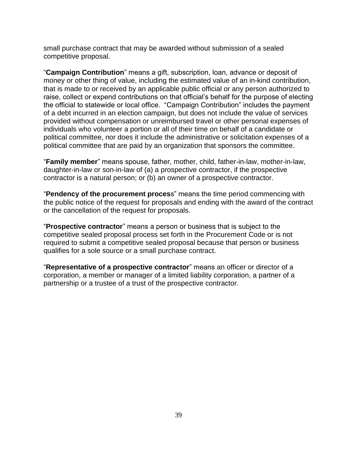small purchase contract that may be awarded without submission of a sealed competitive proposal.

"**Campaign Contribution**" means a gift, subscription, loan, advance or deposit of money or other thing of value, including the estimated value of an in-kind contribution, that is made to or received by an applicable public official or any person authorized to raise, collect or expend contributions on that official's behalf for the purpose of electing the official to statewide or local office. "Campaign Contribution" includes the payment of a debt incurred in an election campaign, but does not include the value of services provided without compensation or unreimbursed travel or other personal expenses of individuals who volunteer a portion or all of their time on behalf of a candidate or political committee, nor does it include the administrative or solicitation expenses of a political committee that are paid by an organization that sponsors the committee.

"**Family member**" means spouse, father, mother, child, father-in-law, mother-in-law, daughter-in-law or son-in-law of (a) a prospective contractor, if the prospective contractor is a natural person; or (b) an owner of a prospective contractor.

"**Pendency of the procurement proces**s" means the time period commencing with the public notice of the request for proposals and ending with the award of the contract or the cancellation of the request for proposals.

"**Prospective contractor**" means a person or business that is subject to the competitive sealed proposal process set forth in the Procurement Code or is not required to submit a competitive sealed proposal because that person or business qualifies for a sole source or a small purchase contract.

"**Representative of a prospective contractor**" means an officer or director of a corporation, a member or manager of a limited liability corporation, a partner of a partnership or a trustee of a trust of the prospective contractor.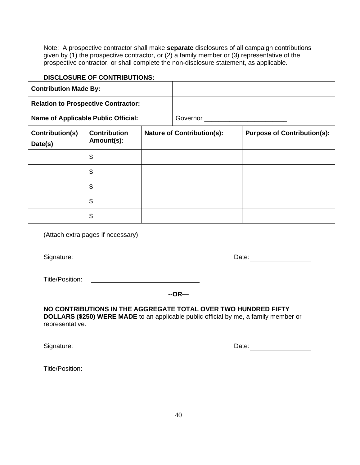Note: A prospective contractor shall make **separate** disclosures of all campaign contributions given by (1) the prospective contractor, or (2) a family member or (3) representative of the prospective contractor, or shall complete the non-disclosure statement, as applicable.

### **DISCLOSURE OF CONTRIBUTIONS:**

| <b>Contribution Made By:</b>               |                                            |  |                                                                         |  |
|--------------------------------------------|--------------------------------------------|--|-------------------------------------------------------------------------|--|
|                                            | <b>Relation to Prospective Contractor:</b> |  |                                                                         |  |
| <b>Name of Applicable Public Official:</b> |                                            |  |                                                                         |  |
| Contribution(s)                            | <b>Contribution</b><br>Amount(s):          |  | <b>Nature of Contribution(s):</b><br><b>Purpose of Contribution(s):</b> |  |
| Date(s)                                    |                                            |  |                                                                         |  |
|                                            | \$                                         |  |                                                                         |  |
|                                            | \$                                         |  |                                                                         |  |
|                                            | \$                                         |  |                                                                         |  |
|                                            | \$                                         |  |                                                                         |  |
|                                            | \$                                         |  |                                                                         |  |

(Attach extra pages if necessary)

Signature: <u>Constantine and Constantine and Constantine and Constantine and Constantine Date:</u>

Title/Position:

### **NO CONTRIBUTIONS IN THE AGGREGATE TOTAL OVER TWO HUNDRED FIFTY**

**DOLLARS (\$250) WERE MADE** to an applicable public official by me, a family member or representative.

Signature: Date:

<span id="page-39-0"></span>Title/Position: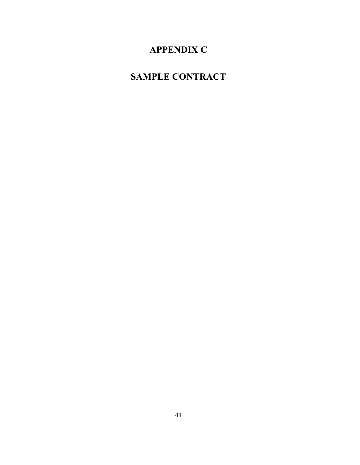# **APPENDIX C**

# <span id="page-40-0"></span>**SAMPLE CONTRACT**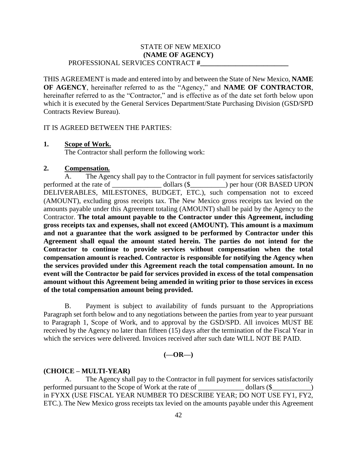### **(NAME OF AGENCY)** PROFESSIONAL SERVICES CONTRACT **#\_\_\_\_\_\_\_\_\_\_\_\_\_\_\_\_\_\_\_\_\_\_\_\_\_** STATE OF NEW MEXICO

THIS AGREEMENT is made and entered into by and between the State of New Mexico, **NAME OF AGENCY**, hereinafter referred to as the "Agency," and **NAME OF CONTRACTOR**, hereinafter referred to as the "Contractor," and is effective as of the date set forth below upon which it is executed by the General Services Department/State Purchasing Division (GSD/SPD Contracts Review Bureau).

#### IT IS AGREED BETWEEN THE PARTIES:

#### **1. Scope of Work.**

The Contractor shall perform the following work:

### **2. Compensation***.*

A. The Agency shall pay to the Contractor in full payment for services satisfactorily performed at the rate of \_\_\_\_\_\_\_\_\_\_\_\_\_\_\_\_ dollars (\$\_\_\_\_\_\_\_\_\_) per hour (OR BASED UPON DELIVERABLES, MILESTONES, BUDGET, ETC.), such compensation not to exceed (AMOUNT), excluding gross receipts tax. The New Mexico gross receipts tax levied on the amounts payable under this Agreement totaling (AMOUNT) shall be paid by the Agency to the Contractor. **The total amount payable to the Contractor under this Agreement, including gross receipts tax and expenses, shall not exceed (AMOUNT). This amount is a maximum and not a guarantee that the work assigned to be performed by Contractor under this Agreement shall equal the amount stated herein. The parties do not intend for the Contractor to continue to provide services without compensation when the total compensation amount is reached. Contractor is responsible for notifying the Agency when the services provided under this Agreement reach the total compensation amount. In no event will the Contractor be paid for services provided in excess of the total compensation amount without this Agreement being amended in writing prior to those services in excess of the total compensation amount being provided.**

B. Payment is subject to availability of funds pursuant to the Appropriations Paragraph set forth below and to any negotiations between the parties from year to year pursuant to Paragraph 1, Scope of Work, and to approval by the GSD/SPD. All invoices MUST BE received by the Agency no later than fifteen (15) days after the termination of the Fiscal Year in which the services were delivered. Invoices received after such date WILL NOT BE PAID.

#### **(—OR—)**

#### **(CHOICE – MULTI-YEAR)**

A. The Agency shall pay to the Contractor in full payment for services satisfactorily performed pursuant to the Scope of Work at the rate of \_\_\_\_\_\_\_\_\_\_\_\_\_ dollars (\$\_\_\_\_\_\_\_\_\_\_\_) in FYXX (USE FISCAL YEAR NUMBER TO DESCRIBE YEAR; DO NOT USE FY1, FY2, ETC.). The New Mexico gross receipts tax levied on the amounts payable under this Agreement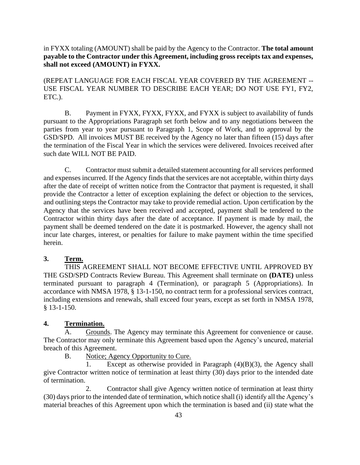in FYXX totaling (AMOUNT) shall be paid by the Agency to the Contractor. **The total amount payable to the Contractor under this Agreement, including gross receipts tax and expenses, shall not exceed (AMOUNT) in FYXX.**

(REPEAT LANGUAGE FOR EACH FISCAL YEAR COVERED BY THE AGREEMENT -- USE FISCAL YEAR NUMBER TO DESCRIBE EACH YEAR; DO NOT USE FY1, FY2, ETC.).

B. Payment in FYXX, FYXX, FYXX, and FYXX is subject to availability of funds pursuant to the Appropriations Paragraph set forth below and to any negotiations between the parties from year to year pursuant to Paragraph 1, Scope of Work, and to approval by the GSD/SPD. All invoices MUST BE received by the Agency no later than fifteen (15) days after the termination of the Fiscal Year in which the services were delivered. Invoices received after such date WILL NOT BE PAID.

C. Contractor must submit a detailed statement accounting for all services performed and expenses incurred. If the Agency finds that the services are not acceptable, within thirty days after the date of receipt of written notice from the Contractor that payment is requested, it shall provide the Contractor a letter of exception explaining the defect or objection to the services, and outlining steps the Contractor may take to provide remedial action. Upon certification by the Agency that the services have been received and accepted, payment shall be tendered to the Contractor within thirty days after the date of acceptance. If payment is made by mail, the payment shall be deemed tendered on the date it is postmarked. However, the agency shall not incur late charges, interest, or penalties for failure to make payment within the time specified herein.

### **3. Term.**

THIS AGREEMENT SHALL NOT BECOME EFFECTIVE UNTIL APPROVED BY THE GSD/SPD Contracts Review Bureau. This Agreement shall terminate on **(DATE)** unless terminated pursuant to paragraph 4 (Termination), or paragraph 5 (Appropriations). In accordance with NMSA 1978, § 13-1-150, no contract term for a professional services contract, including extensions and renewals, shall exceed four years, except as set forth in NMSA 1978, § 13-1-150.

### **4. Termination.**

A. Grounds. The Agency may terminate this Agreement for convenience or cause. The Contractor may only terminate this Agreement based upon the Agency's uncured, material breach of this Agreement.

B. Notice; Agency Opportunity to Cure.

1. Except as otherwise provided in Paragraph (4)(B)(3), the Agency shall give Contractor written notice of termination at least thirty (30) days prior to the intended date of termination.

2. Contractor shall give Agency written notice of termination at least thirty (30) days prior to the intended date of termination, which notice shall (i) identify all the Agency's material breaches of this Agreement upon which the termination is based and (ii) state what the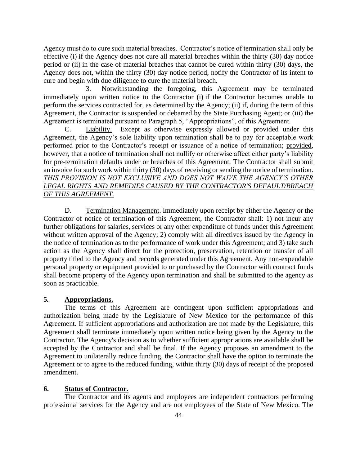Agency must do to cure such material breaches. Contractor's notice of termination shall only be effective (i) if the Agency does not cure all material breaches within the thirty (30) day notice period or (ii) in the case of material breaches that cannot be cured within thirty (30) days, the Agency does not, within the thirty (30) day notice period, notify the Contractor of its intent to cure and begin with due diligence to cure the material breach.

3. Notwithstanding the foregoing, this Agreement may be terminated immediately upon written notice to the Contractor (i) if the Contractor becomes unable to perform the services contracted for, as determined by the Agency; (ii) if, during the term of this Agreement, the Contractor is suspended or debarred by the State Purchasing Agent; or (iii) the Agreement is terminated pursuant to Paragraph 5, "Appropriations", of this Agreement.

C. Liability. Except as otherwise expressly allowed or provided under this Agreement, the Agency's sole liability upon termination shall be to pay for acceptable work performed prior to the Contractor's receipt or issuance of a notice of termination; provided, however, that a notice of termination shall not nullify or otherwise affect either party's liability for pre-termination defaults under or breaches of this Agreement. The Contractor shall submit an invoice for such work within thirty (30) days of receiving or sending the notice of termination. *THIS PROVISION IS NOT EXCLUSIVE AND DOES NOT WAIVE THE AGENCY'S OTHER LEGAL RIGHTS AND REMEDIES CAUSED BY THE CONTRACTOR'S DEFAULT/BREACH OF THIS AGREEMENT.*

D. Termination Management. Immediately upon receipt by either the Agency or the Contractor of notice of termination of this Agreement, the Contractor shall: 1) not incur any further obligations for salaries, services or any other expenditure of funds under this Agreement without written approval of the Agency; 2) comply with all directives issued by the Agency in the notice of termination as to the performance of work under this Agreement; and 3) take such action as the Agency shall direct for the protection, preservation, retention or transfer of all property titled to the Agency and records generated under this Agreement. Any non-expendable personal property or equipment provided to or purchased by the Contractor with contract funds shall become property of the Agency upon termination and shall be submitted to the agency as soon as practicable.

### **5***.* **Appropriations.**

The terms of this Agreement are contingent upon sufficient appropriations and authorization being made by the Legislature of New Mexico for the performance of this Agreement. If sufficient appropriations and authorization are not made by the Legislature, this Agreement shall terminate immediately upon written notice being given by the Agency to the Contractor. The Agency's decision as to whether sufficient appropriations are available shall be accepted by the Contractor and shall be final. If the Agency proposes an amendment to the Agreement to unilaterally reduce funding, the Contractor shall have the option to terminate the Agreement or to agree to the reduced funding, within thirty (30) days of receipt of the proposed amendment.

### **6. Status of Contractor.**

The Contractor and its agents and employees are independent contractors performing professional services for the Agency and are not employees of the State of New Mexico. The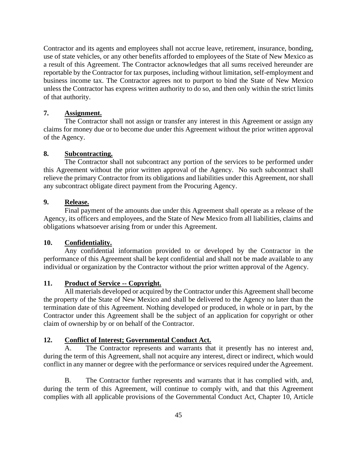Contractor and its agents and employees shall not accrue leave, retirement, insurance, bonding, use of state vehicles, or any other benefits afforded to employees of the State of New Mexico as a result of this Agreement. The Contractor acknowledges that all sums received hereunder are reportable by the Contractor for tax purposes, including without limitation, self-employment and business income tax. The Contractor agrees not to purport to bind the State of New Mexico unless the Contractor has express written authority to do so, and then only within the strict limits of that authority.

### **7. Assignment.**

The Contractor shall not assign or transfer any interest in this Agreement or assign any claims for money due or to become due under this Agreement without the prior written approval of the Agency.

### **8. Subcontracting.**

The Contractor shall not subcontract any portion of the services to be performed under this Agreement without the prior written approval of the Agency. No such subcontract shall relieve the primary Contractor from its obligations and liabilities under this Agreement, nor shall any subcontract obligate direct payment from the Procuring Agency.

### **9. Release.**

Final payment of the amounts due under this Agreement shall operate as a release of the Agency, its officers and employees, and the State of New Mexico from all liabilities, claims and obligations whatsoever arising from or under this Agreement.

### **10. Confidentiality.**

Any confidential information provided to or developed by the Contractor in the performance of this Agreement shall be kept confidential and shall not be made available to any individual or organization by the Contractor without the prior written approval of the Agency.

### **11. Product of Service -- Copyright.**

All materials developed or acquired by the Contractor under this Agreement shall become the property of the State of New Mexico and shall be delivered to the Agency no later than the termination date of this Agreement. Nothing developed or produced, in whole or in part, by the Contractor under this Agreement shall be the subject of an application for copyright or other claim of ownership by or on behalf of the Contractor.

### **12. Conflict of Interest; Governmental Conduct Act.**

A. The Contractor represents and warrants that it presently has no interest and, during the term of this Agreement, shall not acquire any interest, direct or indirect, which would conflict in any manner or degree with the performance or services required under the Agreement.

B. The Contractor further represents and warrants that it has complied with, and, during the term of this Agreement, will continue to comply with, and that this Agreement complies with all applicable provisions of the Governmental Conduct Act, Chapter 10, Article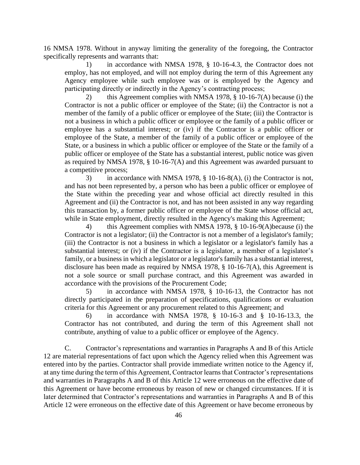16 NMSA 1978. Without in anyway limiting the generality of the foregoing, the Contractor specifically represents and warrants that:

1) in accordance with NMSA 1978, § 10-16-4.3, the Contractor does not employ, has not employed, and will not employ during the term of this Agreement any Agency employee while such employee was or is employed by the Agency and participating directly or indirectly in the Agency's contracting process;

2) this Agreement complies with NMSA 1978, § 10-16-7(A) because (i) the Contractor is not a public officer or employee of the State; (ii) the Contractor is not a member of the family of a public officer or employee of the State; (iii) the Contractor is not a business in which a public officer or employee or the family of a public officer or employee has a substantial interest; or (iv) if the Contractor is a public officer or employee of the State, a member of the family of a public officer or employee of the State, or a business in which a public officer or employee of the State or the family of a public officer or employee of the State has a substantial interest, public notice was given as required by NMSA 1978, § 10-16-7(A) and this Agreement was awarded pursuant to a competitive process;

3) in accordance with NMSA 1978, § 10-16-8(A), (i) the Contractor is not, and has not been represented by, a person who has been a public officer or employee of the State within the preceding year and whose official act directly resulted in this Agreement and (ii) the Contractor is not, and has not been assisted in any way regarding this transaction by, a former public officer or employee of the State whose official act, while in State employment, directly resulted in the Agency's making this Agreement;

4) this Agreement complies with NMSA 1978, § 10-16-9(A)because (i) the Contractor is not a legislator; (ii) the Contractor is not a member of a legislator's family; (iii) the Contractor is not a business in which a legislator or a legislator's family has a substantial interest; or (iv) if the Contractor is a legislator, a member of a legislator's family, or a business in which a legislator or a legislator's family has a substantial interest, disclosure has been made as required by NMSA 1978,  $\S$  10-16-7(A), this Agreement is not a sole source or small purchase contract, and this Agreement was awarded in accordance with the provisions of the Procurement Code;

5) in accordance with NMSA 1978, § 10-16-13, the Contractor has not directly participated in the preparation of specifications, qualifications or evaluation criteria for this Agreement or any procurement related to this Agreement; and

6) in accordance with NMSA 1978, § 10-16-3 and § 10-16-13.3, the Contractor has not contributed, and during the term of this Agreement shall not contribute, anything of value to a public officer or employee of the Agency.

C. Contractor's representations and warranties in Paragraphs A and B of this Article 12 are material representations of fact upon which the Agency relied when this Agreement was entered into by the parties. Contractor shall provide immediate written notice to the Agency if, at any time during the term of this Agreement, Contractor learns that Contractor's representations and warranties in Paragraphs A and B of this Article 12 were erroneous on the effective date of this Agreement or have become erroneous by reason of new or changed circumstances. If it is later determined that Contractor's representations and warranties in Paragraphs A and B of this Article 12 were erroneous on the effective date of this Agreement or have become erroneous by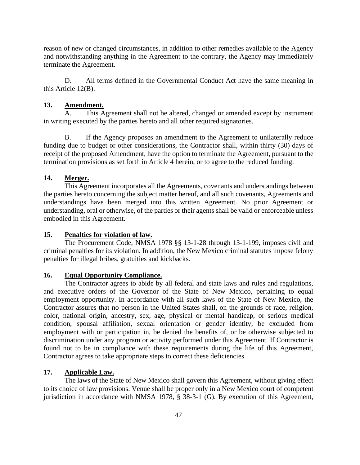reason of new or changed circumstances, in addition to other remedies available to the Agency and notwithstanding anything in the Agreement to the contrary, the Agency may immediately terminate the Agreement.

D. All terms defined in the Governmental Conduct Act have the same meaning in this Article 12(B).

### **13. Amendment.**

A. This Agreement shall not be altered, changed or amended except by instrument in writing executed by the parties hereto and all other required signatories.

B. If the Agency proposes an amendment to the Agreement to unilaterally reduce funding due to budget or other considerations, the Contractor shall, within thirty (30) days of receipt of the proposed Amendment, have the option to terminate the Agreement, pursuant to the termination provisions as set forth in Article 4 herein, or to agree to the reduced funding.

### **14. Merger.**

This Agreement incorporates all the Agreements, covenants and understandings between the parties hereto concerning the subject matter hereof, and all such covenants, Agreements and understandings have been merged into this written Agreement. No prior Agreement or understanding, oral or otherwise, of the parties or their agents shall be valid or enforceable unless embodied in this Agreement.

### **15. Penalties for violation of law.**

The Procurement Code, NMSA 1978 §§ 13-1-28 through 13-1-199, imposes civil and criminal penalties for its violation. In addition, the New Mexico criminal statutes impose felony penalties for illegal bribes, gratuities and kickbacks.

### **16. Equal Opportunity Compliance.**

The Contractor agrees to abide by all federal and state laws and rules and regulations, and executive orders of the Governor of the State of New Mexico, pertaining to equal employment opportunity. In accordance with all such laws of the State of New Mexico, the Contractor assures that no person in the United States shall, on the grounds of race, religion, color, national origin, ancestry, sex, age, physical or mental handicap, or serious medical condition, spousal affiliation, sexual orientation or gender identity, be excluded from employment with or participation in, be denied the benefits of, or be otherwise subjected to discrimination under any program or activity performed under this Agreement. If Contractor is found not to be in compliance with these requirements during the life of this Agreement, Contractor agrees to take appropriate steps to correct these deficiencies.

### **17. Applicable Law.**

The laws of the State of New Mexico shall govern this Agreement, without giving effect to its choice of law provisions. Venue shall be proper only in a New Mexico court of competent jurisdiction in accordance with NMSA 1978, § 38-3-1 (G). By execution of this Agreement,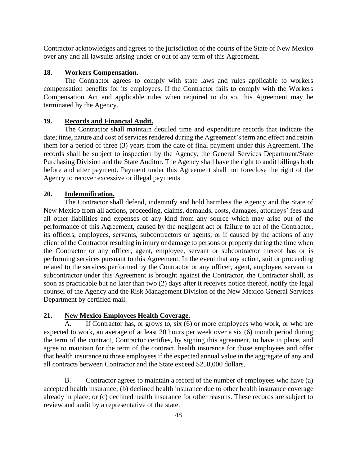Contractor acknowledges and agrees to the jurisdiction of the courts of the State of New Mexico over any and all lawsuits arising under or out of any term of this Agreement.

### **18. Workers Compensation.**

The Contractor agrees to comply with state laws and rules applicable to workers compensation benefits for its employees. If the Contractor fails to comply with the Workers Compensation Act and applicable rules when required to do so, this Agreement may be terminated by the Agency.

### **19***.* **Records and Financial Audit.**

The Contractor shall maintain detailed time and expenditure records that indicate the date; time, nature and cost of services rendered during the Agreement's term and effect and retain them for a period of three (3) years from the date of final payment under this Agreement. The records shall be subject to inspection by the Agency, the General Services Department/State Purchasing Division and the State Auditor. The Agency shall have the right to audit billings both before and after payment. Payment under this Agreement shall not foreclose the right of the Agency to recover excessive or illegal payments

### **20. Indemnification.**

The Contractor shall defend, indemnify and hold harmless the Agency and the State of New Mexico from all actions, proceeding, claims, demands, costs, damages, attorneys' fees and all other liabilities and expenses of any kind from any source which may arise out of the performance of this Agreement, caused by the negligent act or failure to act of the Contractor, its officers, employees, servants, subcontractors or agents, or if caused by the actions of any client of the Contractor resulting in injury or damage to persons or property during the time when the Contractor or any officer, agent, employee, servant or subcontractor thereof has or is performing services pursuant to this Agreement. In the event that any action, suit or proceeding related to the services performed by the Contractor or any officer, agent, employee, servant or subcontractor under this Agreement is brought against the Contractor, the Contractor shall, as soon as practicable but no later than two (2) days after it receives notice thereof, notify the legal counsel of the Agency and the Risk Management Division of the New Mexico General Services Department by certified mail.

### **21. New Mexico Employees Health Coverage.**

A. If Contractor has, or grows to, six (6) or more employees who work, or who are expected to work, an average of at least 20 hours per week over a six (6) month period during the term of the contract, Contractor certifies, by signing this agreement, to have in place, and agree to maintain for the term of the contract, health insurance for those employees and offer that health insurance to those employees if the expected annual value in the aggregate of any and all contracts between Contractor and the State exceed \$250,000 dollars.

B. Contractor agrees to maintain a record of the number of employees who have (a) accepted health insurance; (b) declined health insurance due to other health insurance coverage already in place; or (c) declined health insurance for other reasons. These records are subject to review and audit by a representative of the state.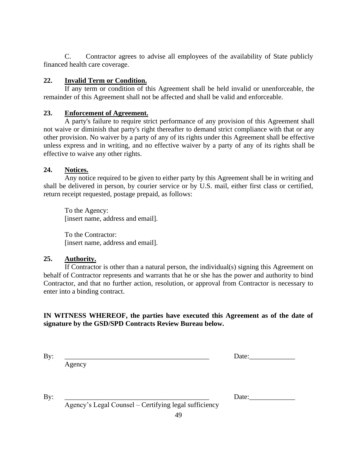C. Contractor agrees to advise all employees of the availability of State publicly financed health care coverage.

### **22. Invalid Term or Condition.**

If any term or condition of this Agreement shall be held invalid or unenforceable, the remainder of this Agreement shall not be affected and shall be valid and enforceable.

### **23. Enforcement of Agreement.**

A party's failure to require strict performance of any provision of this Agreement shall not waive or diminish that party's right thereafter to demand strict compliance with that or any other provision. No waiver by a party of any of its rights under this Agreement shall be effective unless express and in writing, and no effective waiver by a party of any of its rights shall be effective to waive any other rights.

### **24. Notices.**

Any notice required to be given to either party by this Agreement shall be in writing and shall be delivered in person, by courier service or by U.S. mail, either first class or certified, return receipt requested, postage prepaid, as follows:

To the Agency: [insert name, address and email].

To the Contractor: [insert name, address and email].

### **25. Authority.**

If Contractor is other than a natural person, the individual(s) signing this Agreement on behalf of Contractor represents and warrants that he or she has the power and authority to bind Contractor, and that no further action, resolution, or approval from Contractor is necessary to enter into a binding contract.

### **IN WITNESS WHEREOF, the parties have executed this Agreement as of the date of signature by the GSD/SPD Contracts Review Bureau below.**

| ۰. | $\sim$ |
|----|--------|

Agency

Date:

By: \_\_\_\_\_\_\_\_\_\_\_\_\_\_\_\_\_\_\_\_\_\_\_\_\_\_\_\_\_\_\_\_\_\_\_\_\_\_\_\_\_ Date:\_\_\_\_\_\_\_\_\_\_\_\_\_

Agency's Legal Counsel – Certifying legal sufficiency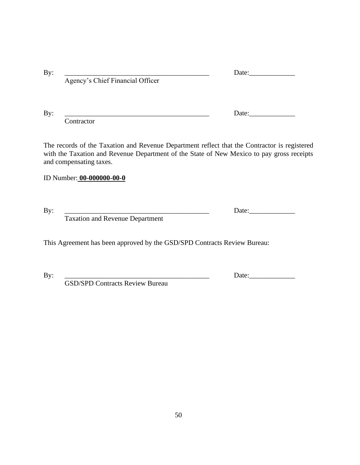| By: |                                  | Date: |
|-----|----------------------------------|-------|
|     | Agency's Chief Financial Officer |       |
|     |                                  |       |
|     |                                  |       |

By: \_\_\_\_\_\_\_\_\_\_\_\_\_\_\_\_\_\_\_\_\_\_\_\_\_\_\_\_\_\_\_\_\_\_\_\_\_\_\_\_\_ Date:\_\_\_\_\_\_\_\_\_\_\_\_\_

**Contractor** 

The records of the Taxation and Revenue Department reflect that the Contractor is registered with the Taxation and Revenue Department of the State of New Mexico to pay gross receipts and compensating taxes.

### ID Number: **00-000000-00-0**

By: \_\_\_\_\_\_\_\_\_\_\_\_\_\_\_\_\_\_\_\_\_\_\_\_\_\_\_\_\_\_\_\_\_\_\_\_\_\_\_\_\_ Date:\_\_\_\_\_\_\_\_\_\_\_\_\_

Taxation and Revenue Department

This Agreement has been approved by the GSD/SPD Contracts Review Bureau:

By: \_\_\_\_\_\_\_\_\_\_\_\_\_\_\_\_\_\_\_\_\_\_\_\_\_\_\_\_\_\_\_\_\_\_\_\_\_\_\_\_\_ Date:\_\_\_\_\_\_\_\_\_\_\_\_\_

GSD/SPD Contracts Review Bureau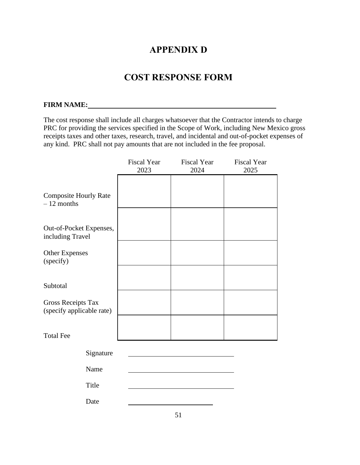### **APPENDIX D**

### **COST RESPONSE FORM**

### <span id="page-50-1"></span><span id="page-50-0"></span>**FIRM NAME:**

The cost response shall include all charges whatsoever that the Contractor intends to charge PRC for providing the services specified in the Scope of Work, including New Mexico gross receipts taxes and other taxes, research, travel, and incidental and out-of-pocket expenses of any kind. PRC shall not pay amounts that are not included in the fee proposal.

|                                                        | <b>Fiscal Year</b><br>2023 | <b>Fiscal Year</b><br>2024 | <b>Fiscal Year</b><br>2025 |
|--------------------------------------------------------|----------------------------|----------------------------|----------------------------|
| <b>Composite Hourly Rate</b><br>$-12$ months           |                            |                            |                            |
| Out-of-Pocket Expenses,<br>including Travel            |                            |                            |                            |
| <b>Other Expenses</b><br>(specify)                     |                            |                            |                            |
| Subtotal                                               |                            |                            |                            |
| <b>Gross Receipts Tax</b><br>(specify applicable rate) |                            |                            |                            |
| <b>Total Fee</b>                                       |                            |                            |                            |
| Signature                                              |                            |                            |                            |
| Name                                                   |                            |                            |                            |
| Title                                                  |                            |                            |                            |
| Date                                                   |                            |                            |                            |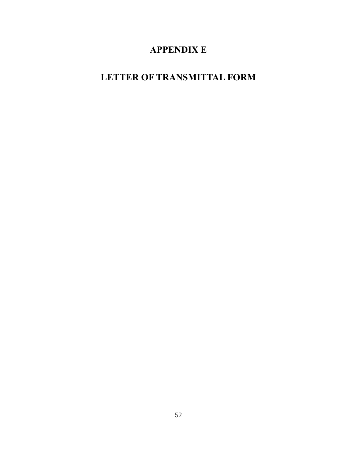# **APPENDIX E**

# <span id="page-51-1"></span><span id="page-51-0"></span>**LETTER OF TRANSMITTAL FORM**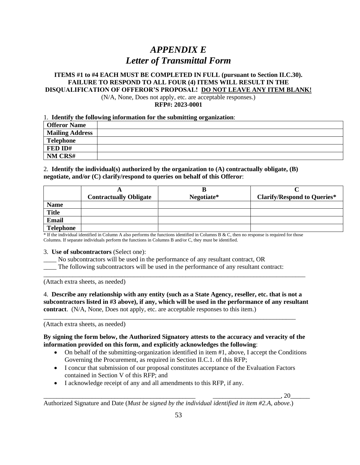# *APPENDIX E Letter of Transmittal Form*

### **ITEMS #1 to #4 EACH MUST BE COMPLETED IN FULL (pursuant to Section II.C.30). FAILURE TO RESPOND TO ALL FOUR (4) ITEMS WILL RESULT IN THE DISQUALIFICATION OF OFFEROR'S PROPOSAL! DO NOT LEAVE ANY ITEM BLANK!**

(N/A, None, Does not apply, etc. are acceptable responses.) **RFP#: 2023-0001**

#### 1. **Identify the following information for the submitting organization**:

| <b>Offeror Name</b>    |  |
|------------------------|--|
| <b>Mailing Address</b> |  |
| <b>Telephone</b>       |  |
| FED ID#                |  |
| NM CRS#                |  |

#### 2. **Identify the individual(s) authorized by the organization to (A) contractually obligate, (B) negotiate, and/or (C) clarify/respond to queries on behalf of this Offeror**:

|                  | <b>Contractually Obligate</b> | Negotiate* | <b>Clarify/Respond to Queries*</b> |
|------------------|-------------------------------|------------|------------------------------------|
| <b>Name</b>      |                               |            |                                    |
| <b>Title</b>     |                               |            |                                    |
| Email            |                               |            |                                    |
| <b>Telephone</b> |                               |            |                                    |

\* If the individual identified in Column A also performs the functions identified in Columns B & C, then no response is required for those Columns. If separate individuals perform the functions in Columns B and/or C, they must be identified.

#### 3. **Use of subcontractors** (Select one):

\_\_\_\_ No subcontractors will be used in the performance of any resultant contract, OR

The following subcontractors will be used in the performance of any resultant contract:

(Attach extra sheets, as needed)

### 4. **Describe any relationship with any entity (such as a State Agency, reseller, etc. that is not a subcontractors listed in #3 above), if any, which will be used in the performance of any resultant contract**. (N/A, None, Does not apply, etc. are acceptable responses to this item.)

\_\_\_\_\_\_\_\_\_\_\_\_\_\_\_\_\_\_\_\_\_\_\_\_\_\_\_\_\_\_\_\_\_\_\_\_\_\_\_\_\_\_\_\_\_\_\_\_\_\_\_\_\_\_\_\_\_\_\_\_\_\_\_\_\_\_\_\_\_\_\_\_\_\_\_\_\_\_

\_\_\_\_\_\_\_\_\_\_\_\_\_\_\_\_\_\_\_\_\_\_\_\_\_\_\_\_\_\_\_\_\_\_\_\_\_\_\_\_\_\_\_\_\_\_\_\_\_\_\_\_\_\_\_\_\_\_\_\_\_\_\_\_\_\_\_\_\_\_\_\_\_\_\_\_\_\_\_\_\_

(Attach extra sheets, as needed)

### **By signing the form below, the Authorized Signatory attests to the accuracy and veracity of the information provided on this form, and explicitly acknowledges the following**:

- On behalf of the submitting-organization identified in item #1, above, I accept the Conditions Governing the Procurement, as required in Section II.C.1. of this RFP;
- I concur that submission of our proposal constitutes acceptance of the Evaluation Factors contained in Section V of this RFP; and
- I acknowledge receipt of any and all amendments to this RFP, if any.

 $\frac{1}{\sqrt{1-\frac{1}{2}}}\left( \frac{1}{2}+2\right) \frac{1}{2}$ 

Authorized Signature and Date (*Must be signed by the individual identified in item #2.A, above*.)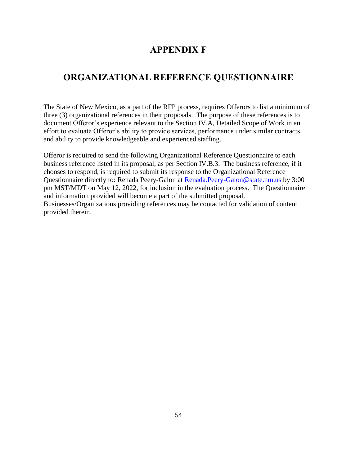### **APPENDIX F**

### <span id="page-53-1"></span><span id="page-53-0"></span>**ORGANIZATIONAL REFERENCE QUESTIONNAIRE**

The State of New Mexico, as a part of the RFP process, requires Offerors to list a minimum of three (3) organizational references in their proposals. The purpose of these references is to document Offeror's experience relevant to the Section IV.A, Detailed Scope of Work in an effort to evaluate Offeror's ability to provide services, performance under similar contracts, and ability to provide knowledgeable and experienced staffing.

Offeror is required to send the following Organizational Reference Questionnaire to each business reference listed in its proposal, as per Section IV.B.3. The business reference, if it chooses to respond, is required to submit its response to the Organizational Reference Questionnaire directly to: Renada Peery-Galon at **Renada.Peery-Galon@state.nm.us** by 3:00 pm MST/MDT on May 12, 2022, for inclusion in the evaluation process. The Questionnaire and information provided will become a part of the submitted proposal. Businesses/Organizations providing references may be contacted for validation of content provided therein.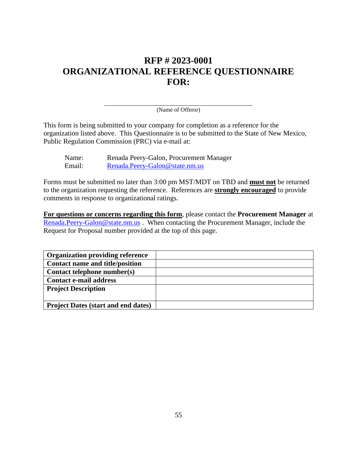## **RFP # 2023-0001 ORGANIZATIONAL REFERENCE QUESTIONNAIRE FOR:**

(Name of Offeror)

This form is being submitted to your company for completion as a reference for the organization listed above. This Questionnaire is to be submitted to the State of New Mexico, Public Regulation Commission (PRC) via e-mail at:

| Name:  | Renada Peery-Galon, Procurement Manager |
|--------|-----------------------------------------|
| Email: | Renada.Peery-Galon@state.nm.us          |

Forms must be submitted no later than 3:00 pm MST/MDT on TBD and **must not** be returned to the organization requesting the reference. References are **strongly encouraged** to provide comments in response to organizational ratings.

**For questions or concerns regarding this form**, please contact the **Procurement Manager** at [Renada.Peery-Galon@state.nm.us](mailto:Renada.Peery-Galon@state.nm.us) . When contacting the Procurement Manager, include the Request for Proposal number provided at the top of this page.

| <b>Organization providing reference</b>    |  |
|--------------------------------------------|--|
| Contact name and title/position            |  |
| Contact telephone number(s)                |  |
| <b>Contact e-mail address</b>              |  |
| <b>Project Description</b>                 |  |
|                                            |  |
| <b>Project Dates (start and end dates)</b> |  |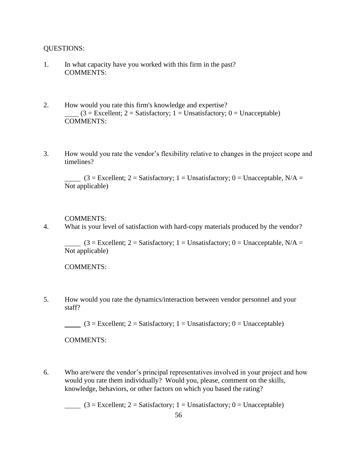QUESTIONS:

- 1. In what capacity have you worked with this firm in the past? COMMENTS:
- 2. How would you rate this firm's knowledge and expertise?  $(3 = \text{Excellent}; 2 = \text{Satisfactory}; 1 = \text{Unsatisfactory}; 0 = \text{Unacceptable})$ COMMENTS:
- 3. How would you rate the vendor's flexibility relative to changes in the project scope and timelines?

 $(3 = Excellent; 2 = Satisfactory; 1 = Unsatisfactory; 0 = Unacceptable, N/A =$ Not applicable)

COMMENTS:

4. What is your level of satisfaction with hard-copy materials produced by the vendor?

 $(3 =$  Excellent; 2 = Satisfactory; 1 = Unsatisfactory; 0 = Unacceptable, N/A = Not applicable)

COMMENTS:

5. How would you rate the dynamics/interaction between vendor personnel and your staff?

 $(3 = Excellent; 2 = Satisfactory; 1 = Unsatisfactory; 0 = Unacceptable)$ 

COMMENTS:

6. Who are/were the vendor's principal representatives involved in your project and how would you rate them individually? Would you, please, comment on the skills, knowledge, behaviors, or other factors on which you based the rating?

 $(3 = Excellent; 2 = Satisfactory; 1 = Unsatisfactory; 0 = Unacceptable)$